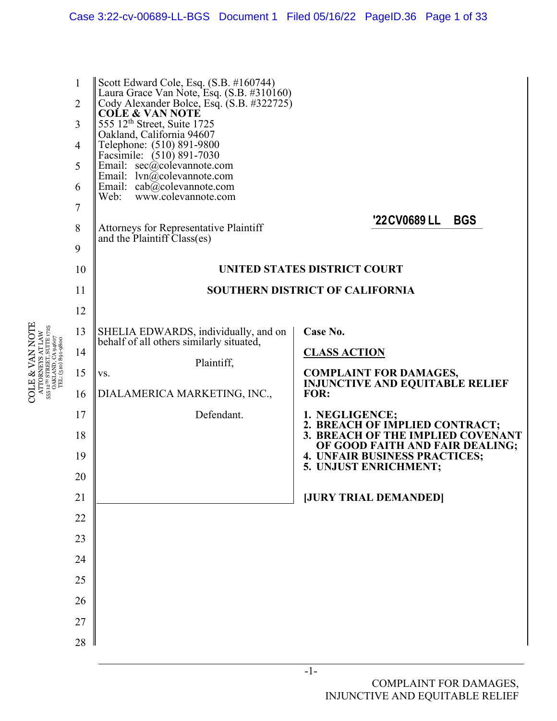

COLE & VAN NOTE ATTORNEYS AT LAW 555 12TH STREET, SUITE 1725

**COLE & VAN NOTE**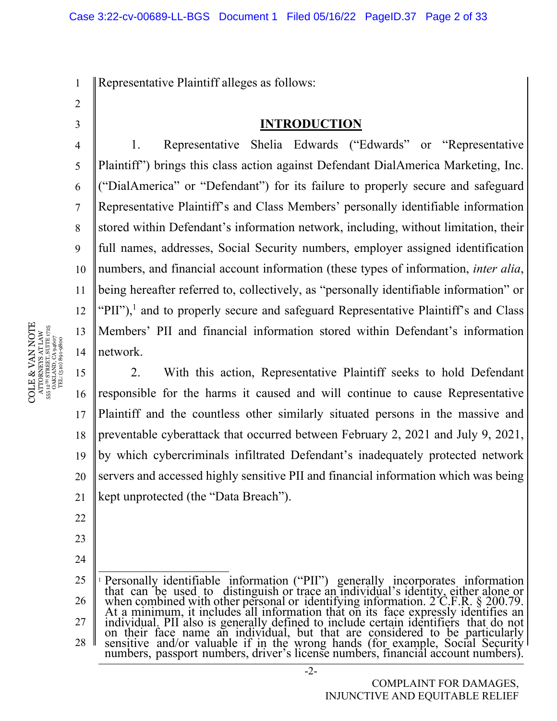1 Representative Plaintiff alleges as follows:

2

4

5

6

7

8

9

11

3

#### **INTRODUCTION**

10 12 13 14 1. Representative Shelia Edwards ("Edwards" or "Representative Plaintiff") brings this class action against Defendant DialAmerica Marketing, Inc. ("DialAmerica" or "Defendant") for its failure to properly secure and safeguard Representative Plaintiff's and Class Members' personally identifiable information stored within Defendant's information network, including, without limitation, their full names, addresses, Social Security numbers, employer assigned identification numbers, and financial account information (these types of information, *inter alia*, being hereafter referred to, collectively, as "personally identifiable information" or "PII"),<sup>1</sup> and to properly secure and safeguard Representative Plaintiff's and Class Members' PII and financial information stored within Defendant's information network.

15 16 17 18 19 20 21 2. With this action, Representative Plaintiff seeks to hold Defendant responsible for the harms it caused and will continue to cause Representative Plaintiff and the countless other similarly situated persons in the massive and preventable cyberattack that occurred between February 2, 2021 and July 9, 2021, by which cybercriminals infiltrated Defendant's inadequately protected network servers and accessed highly sensitive PII and financial information which was being kept unprotected (the "Data Breach").

- 22
- 24

23

25 26 27 28 <sup>1</sup> Personally identifiable information ("PII") generally incorporates information that can be used to distinguish or trace an individual's identity, either alone or when combined with other personal or identifying inform At a minimum, it includes all information that on its face expressly identifies an individual. PII also is generally defined to include certain identifiers that do not on their face name an individual, but that are considered to be particularly<br>sensitive and/or valuable if in the wrong hands (for example, Social Security<br>numbers, passport numbers, driver's license numbers, financial acco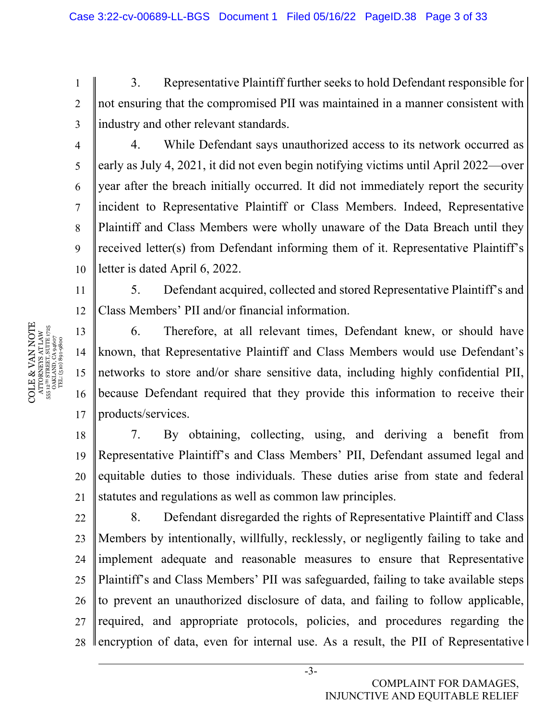3. Representative Plaintiff further seeks to hold Defendant responsible for not ensuring that the compromised PII was maintained in a manner consistent with industry and other relevant standards.

10 4. While Defendant says unauthorized access to its network occurred as early as July 4, 2021, it did not even begin notifying victims until April 2022—over year after the breach initially occurred. It did not immediately report the security incident to Representative Plaintiff or Class Members. Indeed, Representative Plaintiff and Class Members were wholly unaware of the Data Breach until they received letter(s) from Defendant informing them of it. Representative Plaintiff's letter is dated April 6, 2022.

11 12 5. Defendant acquired, collected and stored Representative Plaintiff's and Class Members' PII and/or financial information.

13 14 15 16 17 6. Therefore, at all relevant times, Defendant knew, or should have known, that Representative Plaintiff and Class Members would use Defendant's networks to store and/or share sensitive data, including highly confidential PII, because Defendant required that they provide this information to receive their products/services.

18 19 20 21 7. By obtaining, collecting, using, and deriving a benefit from Representative Plaintiff's and Class Members' PII, Defendant assumed legal and equitable duties to those individuals. These duties arise from state and federal statutes and regulations as well as common law principles.

22 23 24 25 26 27 28 8. Defendant disregarded the rights of Representative Plaintiff and Class Members by intentionally, willfully, recklessly, or negligently failing to take and implement adequate and reasonable measures to ensure that Representative Plaintiff's and Class Members' PII was safeguarded, failing to take available steps to prevent an unauthorized disclosure of data, and failing to follow applicable, required, and appropriate protocols, policies, and procedures regarding the encryption of data, even for internal use. As a result, the PII of Representative

1

2

3

4

5

6

7

8

9

COMPLAINT FOR DAMAGES, INJUNCTIVE AND EQUITABLE RELIEF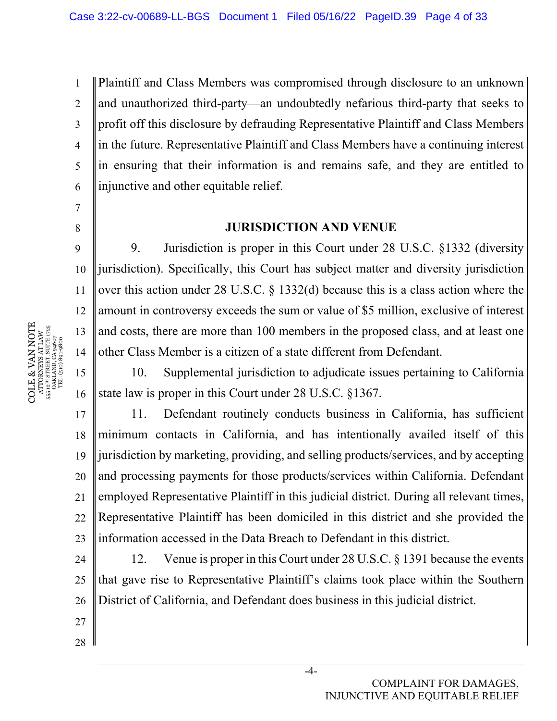1 2 3 4 5 6 Plaintiff and Class Members was compromised through disclosure to an unknown and unauthorized third-party—an undoubtedly nefarious third-party that seeks to profit off this disclosure by defrauding Representative Plaintiff and Class Members in the future. Representative Plaintiff and Class Members have a continuing interest in ensuring that their information is and remains safe, and they are entitled to injunctive and other equitable relief.

## **JURISDICTION AND VENUE**

9. Jurisdiction is proper in this Court under 28 U.S.C. §1332 (diversity jurisdiction). Specifically, this Court has subject matter and diversity jurisdiction over this action under 28 U.S.C. § 1332(d) because this is a class action where the amount in controversy exceeds the sum or value of \$5 million, exclusive of interest and costs, there are more than 100 members in the proposed class, and at least one other Class Member is a citizen of a state different from Defendant.

16 10. Supplemental jurisdiction to adjudicate issues pertaining to California state law is proper in this Court under 28 U.S.C. §1367.

17 18 19 20 21 22 23 11. Defendant routinely conducts business in California, has sufficient minimum contacts in California, and has intentionally availed itself of this jurisdiction by marketing, providing, and selling products/services, and by accepting and processing payments for those products/services within California. Defendant employed Representative Plaintiff in this judicial district. During all relevant times, Representative Plaintiff has been domiciled in this district and she provided the information accessed in the Data Breach to Defendant in this district.

24 25 26 12. Venue is proper in this Court under 28 U.S.C. § 1391 because the events that gave rise to Representative Plaintiff's claims took place within the Southern District of California, and Defendant does business in this judicial district.

COLE & VAN NOTE  $\begin{array}{c} {\text{ATTORNERS AT LAW}} \\ 55\,\,12^{78}\,\, \text{STRERT, SUTER}\,\, 1725 \\ \text{OAKLAND, CA 94607} \\ \text{TEL: (510)}\,\,891\text{-}9800 \end{array}$ **COLE & VAN NOTE** 555 12TH STREET, SUITE 1725 ATTORNEYS AT LAW OAKLAND, CA 94607 TEL: (510) 891-9800

7

8

9

10

11

12

13

14

15

27

28

COMPLAINT FOR DAMAGES, INJUNCTIVE AND EQUITABLE RELIEF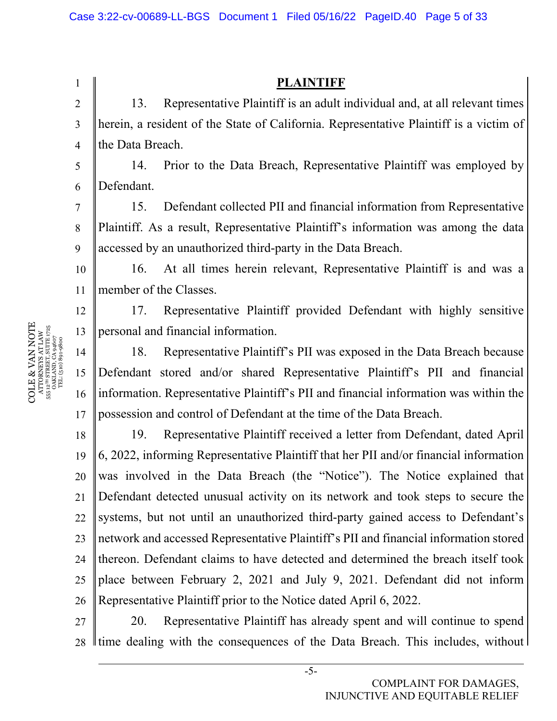1 2 3 4 5 6 7 8 9 10 11 12 13 14 15 16 17 18 19 20 **PLAINTIFF**  13. Representative Plaintiff is an adult individual and, at all relevant times herein, a resident of the State of California. Representative Plaintiff is a victim of the Data Breach. 14. Prior to the Data Breach, Representative Plaintiff was employed by Defendant. 15. Defendant collected PII and financial information from Representative Plaintiff. As a result, Representative Plaintiff's information was among the data accessed by an unauthorized third-party in the Data Breach. 16. At all times herein relevant, Representative Plaintiff is and was a member of the Classes. 17. Representative Plaintiff provided Defendant with highly sensitive personal and financial information. 18. Representative Plaintiff's PII was exposed in the Data Breach because Defendant stored and/or shared Representative Plaintiff's PII and financial information. Representative Plaintiff's PII and financial information was within the possession and control of Defendant at the time of the Data Breach. 19. Representative Plaintiff received a letter from Defendant, dated April 6, 2022, informing Representative Plaintiff that her PII and/or financial information was involved in the Data Breach (the "Notice"). The Notice explained that

21 22 23 24 25 26 Defendant detected unusual activity on its network and took steps to secure the systems, but not until an unauthorized third-party gained access to Defendant's network and accessed Representative Plaintiff's PII and financial information stored thereon. Defendant claims to have detected and determined the breach itself took place between February 2, 2021 and July 9, 2021. Defendant did not inform Representative Plaintiff prior to the Notice dated April 6, 2022.

27 28 20. Representative Plaintiff has already spent and will continue to spend If time dealing with the consequences of the Data Breach. This includes, without

-5-

COLE & VAN NOTE VLLI & VEN INVILI<br>ATTORNEYS AT LAW<br>55 L<sup>2H</sup> STREET, SUITE 1725<br>OAKLAND, CA 94607<br>OAKLAND, CA 94607 COLE & VAN NOTE 555 12TH STREET, SUITE 1725 ATTORNEYS AT LAW OAKLAND, CA 94607 TEL: (510) 891-9800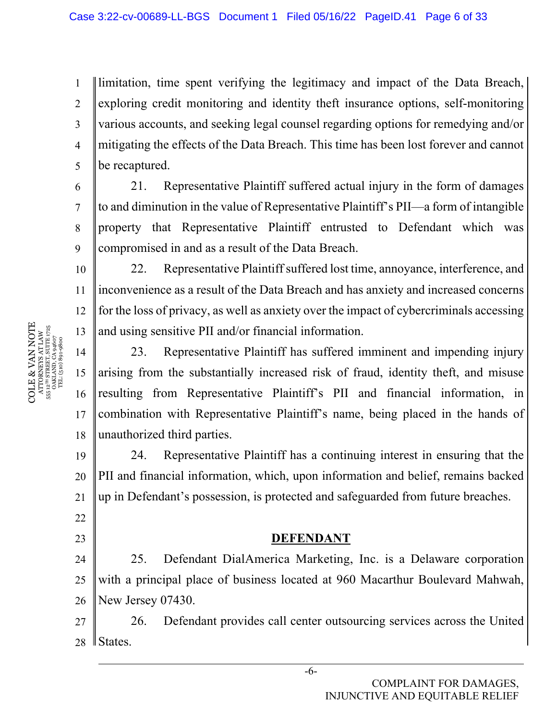1 2 3 4 5 limitation, time spent verifying the legitimacy and impact of the Data Breach, exploring credit monitoring and identity theft insurance options, self-monitoring various accounts, and seeking legal counsel regarding options for remedying and/or mitigating the effects of the Data Breach. This time has been lost forever and cannot be recaptured.

21. Representative Plaintiff suffered actual injury in the form of damages to and diminution in the value of Representative Plaintiff's PII—a form of intangible property that Representative Plaintiff entrusted to Defendant which was compromised in and as a result of the Data Breach.

10 22. Representative Plaintiff suffered lost time, annoyance, interference, and inconvenience as a result of the Data Breach and has anxiety and increased concerns for the loss of privacy, as well as anxiety over the impact of cybercriminals accessing and using sensitive PII and/or financial information.

14 15 16 17 18 23. Representative Plaintiff has suffered imminent and impending injury arising from the substantially increased risk of fraud, identity theft, and misuse resulting from Representative Plaintiff's PII and financial information, in combination with Representative Plaintiff's name, being placed in the hands of unauthorized third parties.

19 20 21 24. Representative Plaintiff has a continuing interest in ensuring that the PII and financial information, which, upon information and belief, remains backed up in Defendant's possession, is protected and safeguarded from future breaches.

## **DEFENDANT**

24 25 26 25. Defendant DialAmerica Marketing, Inc. is a Delaware corporation with a principal place of business located at 960 Macarthur Boulevard Mahwah, New Jersey 07430.

27 28 26. Defendant provides call center outsourcing services across the United States.

COLE & VAN NOTE  $\begin{array}{c} {\text{ATTORNEXS AT LAW}}\\ 55\text{ L}^{2\text{H}}\text{ STRERT, SUTE 1725} \\ \text{OAKLAND, CA 94607}\\ \text{TEL: (510) 891-9800}\end{array}$ COLE & VAN NOTE 555 12TH STREET, SUITE 1725 ATTORNEYS AT LAW OAKLAND, CA 94607 TEL: (510) 891-9800

6

7

8

9

11

12

13

22

23

-6-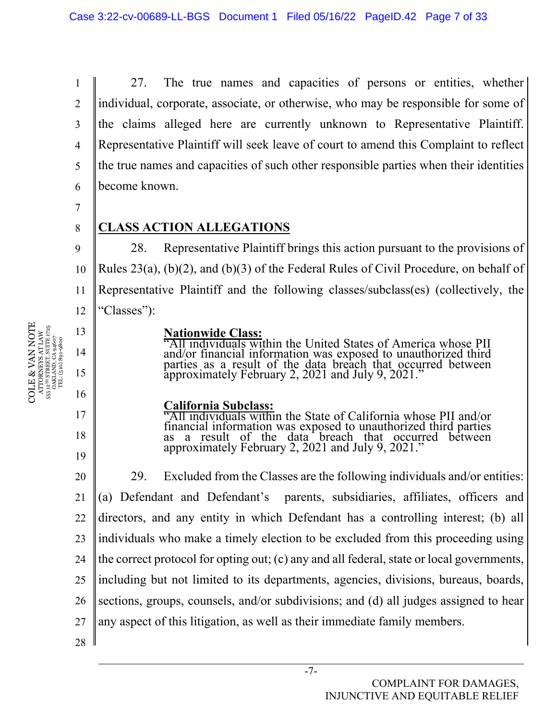1 2 3 4 5 6 27. The true names and capacities of persons or entities, whether individual, corporate, associate, or otherwise, who may be responsible for some of the claims alleged here are currently unknown to Representative Plaintiff. Representative Plaintiff will seek leave of court to amend this Complaint to reflect the true names and capacities of such other responsible parties when their identities become known.

7

8

9

13

14

15

16

17

18

19

## **CLASS ACTION ALLEGATIONS**

10 11 12 28. Representative Plaintiff brings this action pursuant to the provisions of Rules 23(a), (b)(2), and (b)(3) of the Federal Rules of Civil Procedure, on behalf of Representative Plaintiff and the following classes/subclass(es) (collectively, the "Classes"):

#### **Nationwide Class:**

"All individuals within the United States of America whose PII and/or financial information was exposed to unauthorized third parties as a result of the data breach that occurred between approximately February 2, 2021 and July 9, 2021."

## **California Subclass:**

"All individuals within the State of California whose PII and/or financial information was exposed to unauthorized third parties as a result of the data breach that occurred between approximately February 2, 2021 and July 9, 2021."

20 21 22 23 24 25 26 27 29. Excluded from the Classes are the following individuals and/or entities: (a) Defendant and Defendant's parents, subsidiaries, affiliates, officers and directors, and any entity in which Defendant has a controlling interest; (b) all individuals who make a timely election to be excluded from this proceeding using the correct protocol for opting out; (c) any and all federal, state or local governments, including but not limited to its departments, agencies, divisions, bureaus, boards, sections, groups, counsels, and/or subdivisions; and (d) all judges assigned to hear any aspect of this litigation, as well as their immediate family members.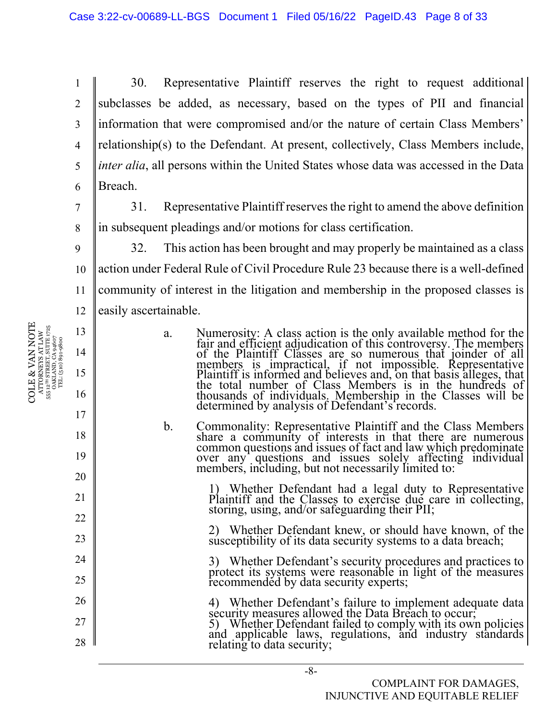1 2 3 4 5 6 30. Representative Plaintiff reserves the right to request additional subclasses be added, as necessary, based on the types of PII and financial information that were compromised and/or the nature of certain Class Members' relationship(s) to the Defendant. At present, collectively, Class Members include, *inter alia*, all persons within the United States whose data was accessed in the Data Breach.

31. Representative Plaintiff reserves the right to amend the above definition in subsequent pleadings and/or motions for class certification.

9 10 11 12 32. This action has been brought and may properly be maintained as a class action under Federal Rule of Civil Procedure Rule 23 because there is a well-defined community of interest in the litigation and membership in the proposed classes is easily ascertainable.

- a. Numerosity: A class action is the only available method for the fair and efficient adjudication of this controversy. The members members is impractical, if not impossible. Representative Plaintiff is informed and believes and, on that basis alleges, that the total number of Class Members is in the hundreds of thousands of individuals. Membership in the Classes will be determined by analysis of Defendant's records.
- b. Commonality: Representative Plaintiff and the Class Members share a community of interests in that there are numerous over any questions and issues solely affecting individual members, including, but not necessarily limited to:

1) Whether Defendant had a legal duty to Representative Plaintiff and the Classes to exercise due care in collecting, storing, using, and/or safeguarding their PII;

2) Whether Defendant knew, or should have known, of the susceptibility of its data security systems to a data breach;

3) Whether Defendant's security procedures and practices to protect its systems were reasonable in light of the measures recommended by data security experts;

4) Whether Defendant's failure to implement adequate data<br>security measures allowed the Data Breach to occur;<br>5) Whether Defendant failed to comply with its own policies<br>and applicable laws, regulations, and industry stand

7

8

13

14

15

16

17

18

19

20

21

22

23

24

25

26

27

28

COMPLAINT FOR DAMAGES, INJUNCTIVE AND EQUITABLE RELIEF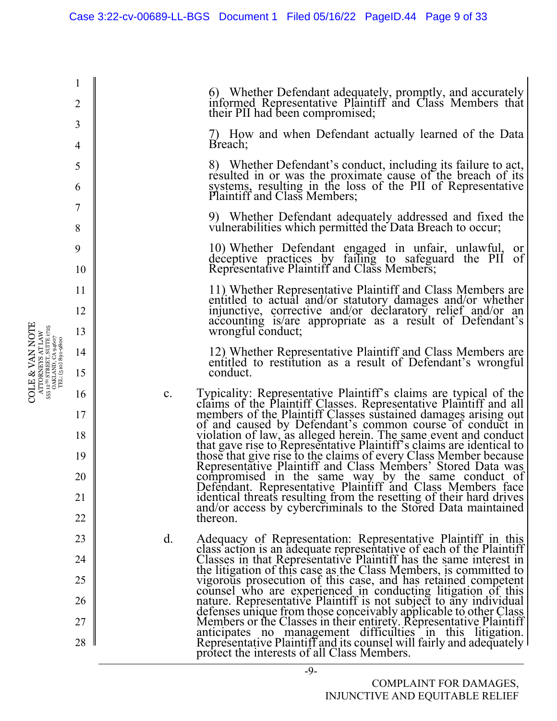6) Whether Defendant adequately, promptly, and accurately informed Representative Plaintiff and Class Members that their PII had been compromised; 7) How and when Defendant actually learned of the Data Breach; 8) Whether Defendant's conduct, including its failure to act, resulted in or was the proximate cause of the breach of its systems, resulting in the loss of the PII of Representative Plaintiff and Class Members; 9) Whether Defendant adequately addressed and fixed the vulnerabilities which permitted the Data Breach to occur; 10) Whether Defendant engaged in unfair, unlawful, or deceptive practices by failing to safeguard the PII of Representative Plaintiff and Class Members; 11) Whether Representative Plaintiff and Class Members are injunctive, corrective and/or declaratory relief and/or an accounting is/are appropriate as a result of Defendant's wrongful conduct; 12) Whether Representative Plaintiff and Class Members are entitled to restitution as a result of Defendant's wrongful conduct. c. Typicality: Representative Plaintiff's claims are typical of the claims of the Plaintiff Classes. Representative Plaintiff and all members of the Plaintiff Classes sustained damages arising out of and caused by Defendant's common course of conduct in violation of law, as alleged herein. The same event and conduct that gave rise to Representative Plaintiff's claims are identical to those that give rise to the claims of every Class Member because<br>Representative Plaintiff and Class Members' Stored Data was<br>compromised in the same way by the same conduct of Defendant. Representative Plaintiff and Class Members face identical threats resulting from the resetting of their hard drives and/or access by cybercriminals to the Stored Data maintained thereon. d. Adequacy of Representation: Representative Plaintiff in this class action is an adequate representative of each of the Plaintiff Classes in that Representative Plaintiff has the same interest in the litigation of this case as the Class Members, is committed to vigorous prosecution of this case, and has retained competent counsel who are experienced in conducting litigation of this nature. Representative Plaintiff is not subject to any individual defenses unique from those conceivably applicable to other Class<br>Members or the Classes in their entirety. Representative Plaintiff anticipates no management difficulties in this litigation.<br>Representative Plaintiff and its counsel will fairly and adequately<br>protect the interests of all Class Members.

1

2

3

4

5

6

7

8

9

10

11

12

13

14

15

16

17

18

19

20

21

22

23

24

25

26

27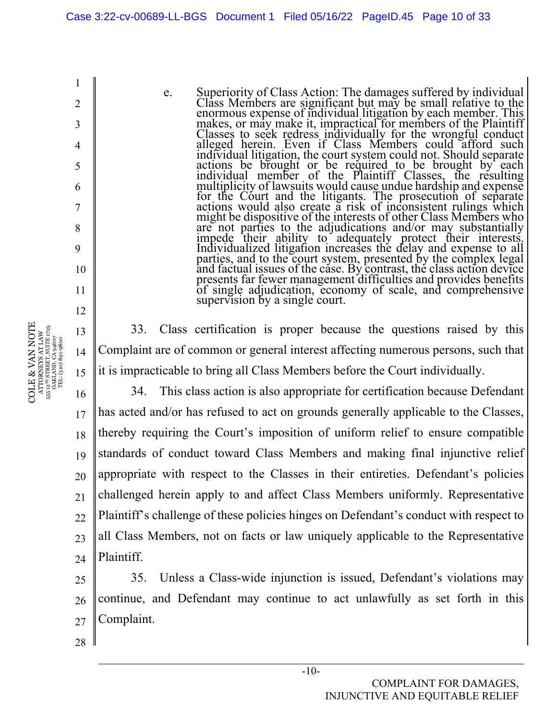COLE & VAN NOTE COLE & VAN NOTE  $\begin{array}{c} \text{ATTORNRYS AT LAW} \\ \text{555 }\text{12}^{\text{m}} \text{ STRERT, SUTE } \text{1725} \\ \text{0AKLAND, C49 } \text{4607} \\ \text{TEL: (510)} \text{891-9800} \end{array}$ 555 12TH STREET, SUITE 1725 13 ATTORNEYS AT LAW OAKLAND, CA 94607 TEL: (510) 891-9800 14 15

1

2

3

4

5

6

7

8

9

10

11

12

e. Superiority of Class Action: The damages suffered by individual Class Members are significant but may be small relative to the enormous expense of individual litigation by each member. This makes, or may make it, imprac actions be brought or be required to be brought by each<br>individual member of the Plaintiff Classes, the resulting<br>multiplicity of lawsuits would cause undue hardship and expense<br>for the Court and the litigants. The prosecu actions would also create a risk of inconsistent rulings which might be dispositive of the interests of other Class Members who are not parties to the adjudications and/or may substantially impede their ability to adequately protect their interests.<br>Individualized litigation increases the delay and expense to all parties, and to the court system, presented by the complex legal<br>and factual issues of the case. By contrast, the class action device<br>presents far fewer management difficulties and provides benefits<br>of single adjudication,

33. Class certification is proper because the questions raised by this Complaint are of common or general interest affecting numerous persons, such that it is impracticable to bring all Class Members before the Court individually.

16 17 18 19 20 21 22 23 24 34. This class action is also appropriate for certification because Defendant has acted and/or has refused to act on grounds generally applicable to the Classes, thereby requiring the Court's imposition of uniform relief to ensure compatible standards of conduct toward Class Members and making final injunctive relief appropriate with respect to the Classes in their entireties. Defendant's policies challenged herein apply to and affect Class Members uniformly. Representative Plaintiff's challenge of these policies hinges on Defendant's conduct with respect to all Class Members, not on facts or law uniquely applicable to the Representative Plaintiff.

25 26 27 35. Unless a Class-wide injunction is issued, Defendant's violations may continue, and Defendant may continue to act unlawfully as set forth in this Complaint.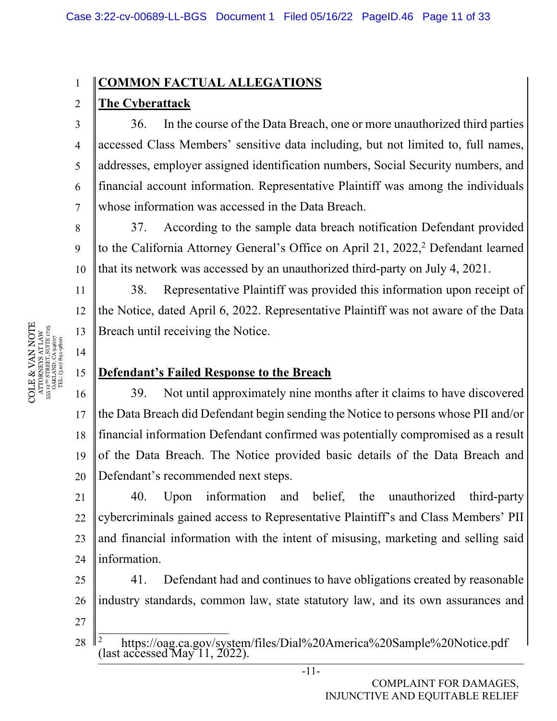#### 1 **COMMON FACTUAL ALLEGATIONS**

## **The Cyberattack**

2

3

4

5

6

7

8

9

11

12

13

14

15

36. In the course of the Data Breach, one or more unauthorized third parties accessed Class Members' sensitive data including, but not limited to, full names, addresses, employer assigned identification numbers, Social Security numbers, and financial account information. Representative Plaintiff was among the individuals whose information was accessed in the Data Breach.

10 37. According to the sample data breach notification Defendant provided to the California Attorney General's Office on April 21, 2022,<sup>2</sup> Defendant learned that its network was accessed by an unauthorized third-party on July 4, 2021.

38. Representative Plaintiff was provided this information upon receipt of the Notice, dated April 6, 2022. Representative Plaintiff was not aware of the Data Breach until receiving the Notice.

## **Defendant's Failed Response to the Breach**

16 17 18 19 20 39. Not until approximately nine months after it claims to have discovered the Data Breach did Defendant begin sending the Notice to persons whose PII and/or financial information Defendant confirmed was potentially compromised as a result of the Data Breach. The Notice provided basic details of the Data Breach and Defendant's recommended next steps.

21 22 23 24 40. Upon information and belief, the unauthorized third-party cybercriminals gained access to Representative Plaintiff's and Class Members' PII and financial information with the intent of misusing, marketing and selling said information.

25 26 27 41. Defendant had and continues to have obligations created by reasonable industry standards, common law, state statutory law, and its own assurances and

28 <sup>2</sup> https://oag.ca.gov/system/files/Dial%20America%20Sample%20Notice.pdf (last accessed May 11, 2022).

COLE & VAN NOTE  $\begin{array}{c} {\text{ATTORNEXS AT LAW}}\\ 55\,\,12^{78}\,\,87\,\text{REET, SUTIE}\,\,1725\\ \text{OAKLAND, CA 94607}\\ \text{TEL: (510)}\,\,891\text{-}9800 \end{array}$ COLE & VAN NOTE 555 12TH STREET, SUITE 1725 ATTORNEYS AT LAW OAKLAND, CA 94607 TEL: (510) 891-9800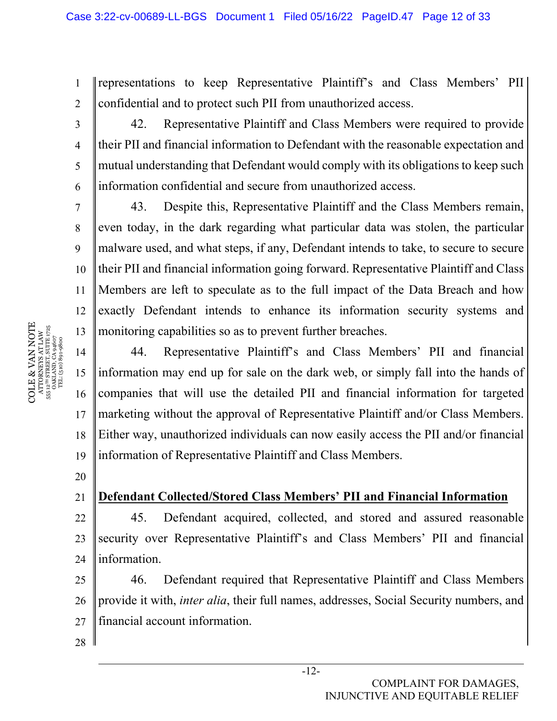1 2 representations to keep Representative Plaintiff's and Class Members' PII confidential and to protect such PII from unauthorized access.

42. Representative Plaintiff and Class Members were required to provide their PII and financial information to Defendant with the reasonable expectation and mutual understanding that Defendant would comply with its obligations to keep such information confidential and secure from unauthorized access.

10 11 12 13 43. Despite this, Representative Plaintiff and the Class Members remain, even today, in the dark regarding what particular data was stolen, the particular malware used, and what steps, if any, Defendant intends to take, to secure to secure their PII and financial information going forward. Representative Plaintiff and Class Members are left to speculate as to the full impact of the Data Breach and how exactly Defendant intends to enhance its information security systems and monitoring capabilities so as to prevent further breaches.

14 15 16 17 18 19 44. Representative Plaintiff's and Class Members' PII and financial information may end up for sale on the dark web, or simply fall into the hands of companies that will use the detailed PII and financial information for targeted marketing without the approval of Representative Plaintiff and/or Class Members. Either way, unauthorized individuals can now easily access the PII and/or financial information of Representative Plaintiff and Class Members.

20 21

3

4

5

6

7

8

9

## **Defendant Collected/Stored Class Members' PII and Financial Information**

22 23 24 45. Defendant acquired, collected, and stored and assured reasonable security over Representative Plaintiff's and Class Members' PII and financial information.

25 26 27 46. Defendant required that Representative Plaintiff and Class Members provide it with, *inter alia*, their full names, addresses, Social Security numbers, and financial account information.

28

COLE & VAN NOTE  $\begin{array}{l} {\bf ATIONRYSS~AT} \bot \ {\bf AN} \ \\ {\bf 55~L^{218}~S} \ {\bf RREIT,~SUTL~4725} \ \\ {\bf OAKLAND,~CA~9~4607} \ \\ {\bf TEL:~(510)~891-9800} \end{array}$ COLE & VAN NOTE 555 12TH STREET, SUITE 1725 ATTORNEYS AT LAW OAKLAND, CA 94607 TEL: (510) 891-9800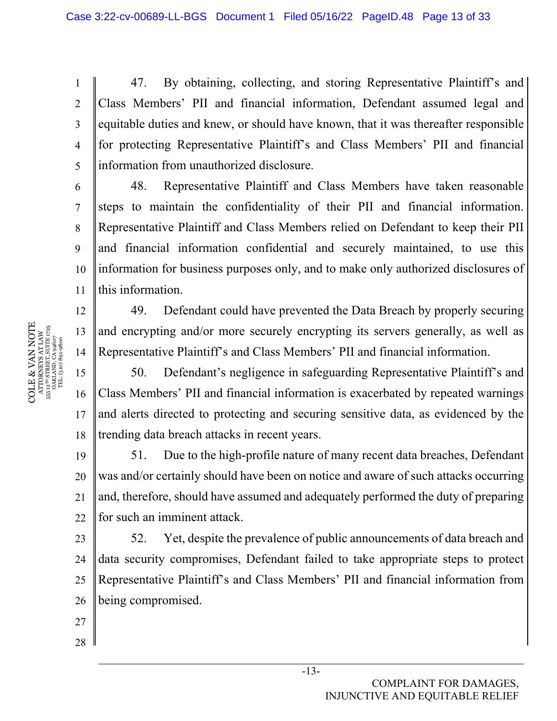47. By obtaining, collecting, and storing Representative Plaintiff's and Class Members' PII and financial information, Defendant assumed legal and equitable duties and knew, or should have known, that it was thereafter responsible for protecting Representative Plaintiff's and Class Members' PII and financial information from unauthorized disclosure.

10 11 48. Representative Plaintiff and Class Members have taken reasonable steps to maintain the confidentiality of their PII and financial information. Representative Plaintiff and Class Members relied on Defendant to keep their PII and financial information confidential and securely maintained, to use this information for business purposes only, and to make only authorized disclosures of this information.

49. Defendant could have prevented the Data Breach by properly securing and encrypting and/or more securely encrypting its servers generally, as well as Representative Plaintiff's and Class Members' PII and financial information.

50. Defendant's negligence in safeguarding Representative Plaintiff's and Class Members' PII and financial information is exacerbated by repeated warnings and alerts directed to protecting and securing sensitive data, as evidenced by the trending data breach attacks in recent years.

19 20 21 22 51. Due to the high-profile nature of many recent data breaches, Defendant was and/or certainly should have been on notice and aware of such attacks occurring and, therefore, should have assumed and adequately performed the duty of preparing for such an imminent attack.

23 24  $25$ 26 52. Yet, despite the prevalence of public announcements of data breach and data security compromises, Defendant failed to take appropriate steps to protect Representative Plaintiff's and Class Members' PII and financial information from being compromised.

-13-

- 27
- 28

COMPLAINT FOR DAMAGES, INJUNCTIVE AND EQUITABLE RELIEF

COLE & VAN NOTE  $\begin{array}{c} {\text{ATTORNEXS AT LAW}} \\ 55\,\,12^{78}\,\,87\,\text{REERT, SUTIE}\,\,1725 \\ \text{OAKLAND, CA 94607} \\ \text{TEL: (510)\,891-9800} \end{array}$ **COLE & VAN NOTE** 555 12TH STREET, SUITE 1725 ATTORNEYS AT LAW OAKLAND, CA 94607 TEL: (510) 891-9800

1

2

3

4

5

6

7

8

9

12

13

14

15

16

17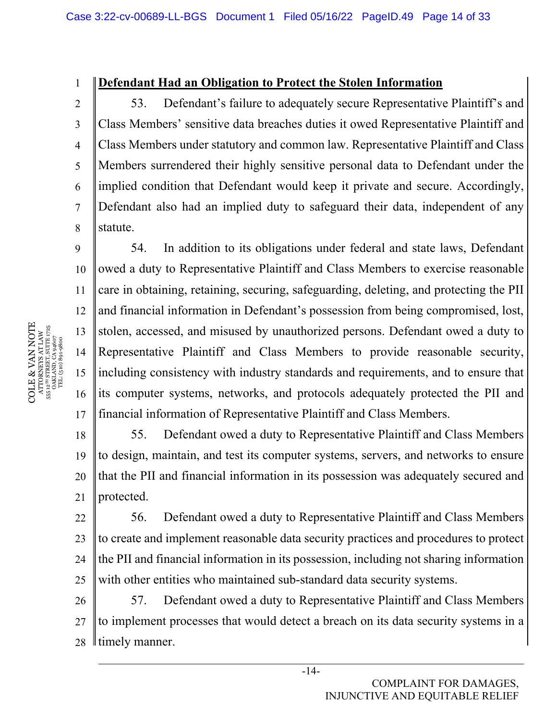#### **Defendant Had an Obligation to Protect the Stolen Information**

53. Defendant's failure to adequately secure Representative Plaintiff's and Class Members' sensitive data breaches duties it owed Representative Plaintiff and Class Members under statutory and common law. Representative Plaintiff and Class Members surrendered their highly sensitive personal data to Defendant under the implied condition that Defendant would keep it private and secure. Accordingly, Defendant also had an implied duty to safeguard their data, independent of any statute.

10 11 12 13 14 15 16 17 54. In addition to its obligations under federal and state laws, Defendant owed a duty to Representative Plaintiff and Class Members to exercise reasonable care in obtaining, retaining, securing, safeguarding, deleting, and protecting the PII and financial information in Defendant's possession from being compromised, lost, stolen, accessed, and misused by unauthorized persons. Defendant owed a duty to Representative Plaintiff and Class Members to provide reasonable security, including consistency with industry standards and requirements, and to ensure that its computer systems, networks, and protocols adequately protected the PII and financial information of Representative Plaintiff and Class Members.

18 19 20 21 55. Defendant owed a duty to Representative Plaintiff and Class Members to design, maintain, and test its computer systems, servers, and networks to ensure that the PII and financial information in its possession was adequately secured and protected.

22 23 24 25 56. Defendant owed a duty to Representative Plaintiff and Class Members to create and implement reasonable data security practices and procedures to protect the PII and financial information in its possession, including not sharing information with other entities who maintained sub-standard data security systems.

26 27 28 57. Defendant owed a duty to Representative Plaintiff and Class Members to implement processes that would detect a breach on its data security systems in a If timely manner.

COLE & VAN NOTE COLE & VAN NOTE 555 12TH STREET, SUITE 1725 ATTORNEYS AT LAW OAKLAND, CA 94607 TEL: (510) 891-9800

1

2

3

4

5

6

7

8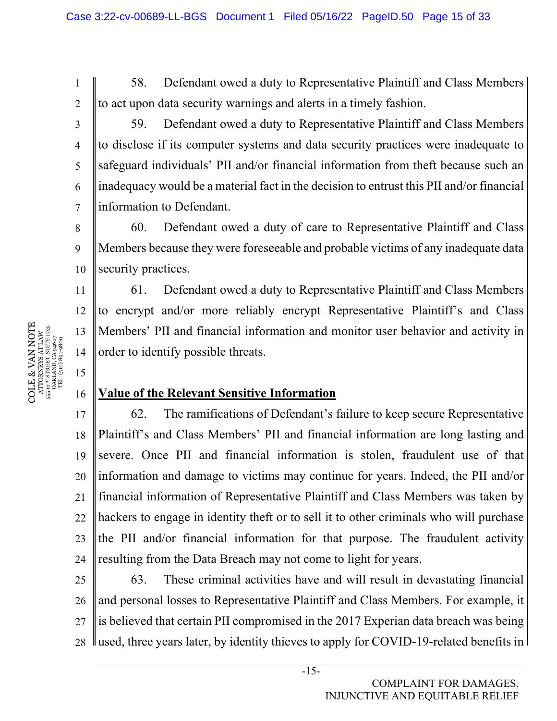58. Defendant owed a duty to Representative Plaintiff and Class Members to act upon data security warnings and alerts in a timely fashion.

2 3

4

5

6

7

8

9

11

12

13

14

15

16

1

59. Defendant owed a duty to Representative Plaintiff and Class Members to disclose if its computer systems and data security practices were inadequate to safeguard individuals' PII and/or financial information from theft because such an inadequacy would be a material fact in the decision to entrust this PII and/or financial information to Defendant.

10 60. Defendant owed a duty of care to Representative Plaintiff and Class Members because they were foreseeable and probable victims of any inadequate data security practices.

61. Defendant owed a duty to Representative Plaintiff and Class Members to encrypt and/or more reliably encrypt Representative Plaintiff's and Class Members' PII and financial information and monitor user behavior and activity in order to identify possible threats.

## **Value of the Relevant Sensitive Information**

17 18 19 20 21 22 23 24 62. The ramifications of Defendant's failure to keep secure Representative Plaintiff's and Class Members' PII and financial information are long lasting and severe. Once PII and financial information is stolen, fraudulent use of that information and damage to victims may continue for years. Indeed, the PII and/or financial information of Representative Plaintiff and Class Members was taken by hackers to engage in identity theft or to sell it to other criminals who will purchase the PII and/or financial information for that purpose. The fraudulent activity resulting from the Data Breach may not come to light for years.

25 26 27 28 63. These criminal activities have and will result in devastating financial and personal losses to Representative Plaintiff and Class Members. For example, it is believed that certain PII compromised in the 2017 Experian data breach was being I used, three years later, by identity thieves to apply for COVID-19-related benefits in

COLE & VAN NOTE  $\begin{array}{l} {\bf ATIONRIKS~AT1~AW} \\ {\bf 55.12^m~STREIT, SUT1~725} \\ {\bf OAKIAND, C494607} \\ {\bf TEL. (510)} {\bf 891}\mbox{-}9800 \end{array}$ COLE & VAN NOTE 555 12TH STREET, SUITE 1725 ATTORNEYS AT LAW OAKLAND, CA 94607 TEL: (510) 891-9800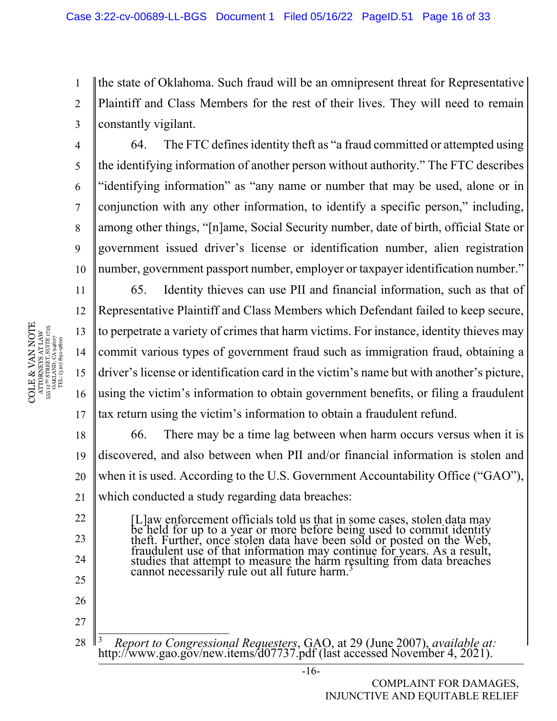1 2 3 the state of Oklahoma. Such fraud will be an omnipresent threat for Representative Plaintiff and Class Members for the rest of their lives. They will need to remain constantly vigilant.

10 64. The FTC defines identity theft as "a fraud committed or attempted using the identifying information of another person without authority." The FTC describes "identifying information" as "any name or number that may be used, alone or in conjunction with any other information, to identify a specific person," including, among other things, "[n]ame, Social Security number, date of birth, official State or government issued driver's license or identification number, alien registration number, government passport number, employer or taxpayer identification number."

11 12 13 14 15 16 17 65. Identity thieves can use PII and financial information, such as that of Representative Plaintiff and Class Members which Defendant failed to keep secure, to perpetrate a variety of crimes that harm victims. For instance, identity thieves may commit various types of government fraud such as immigration fraud, obtaining a driver's license or identification card in the victim's name but with another's picture, using the victim's information to obtain government benefits, or filing a fraudulent tax return using the victim's information to obtain a fraudulent refund.

18 19 20 21 66. There may be a time lag between when harm occurs versus when it is discovered, and also between when PII and/or financial information is stolen and when it is used. According to the U.S. Government Accountability Office ("GAO"), which conducted a study regarding data breaches:

[L]aw enforcement officials told us that in some cases, stolen data may<br>be held for up to a year or more before being used to commit identity<br>theft. Further, once stolen data have been sold or posted on the Web,<br>fraudulent

28 <sup>3</sup> *Report to Congressional Requesters*, GAO, at 29 (June 2007), *available at:* http://www.gao.gov/new.items/d07737.pdf (last accessed November 4, 2021).

COLE & VAN NOTE  $\begin{array}{c} \text{ATTORNRYS AT LAW} \\ \text{555 12}^{\text{TH} \text{ STREIT, SUTL} \text{ 1725}} \\ \text{556 12}^{\text{TH} \text{ STREIT, SUTL} \text{ 1725}} \\ \text{768.48-10} \\ \text{TEL: (510) 891-9800} \end{array}$ COLE & VAN NOTE 555 12TH STREET, SUITE 1725 ATTORNEYS AT LAW OAKLAND, CA 94607 TEL: (510) 891-9800 4

5

6

7

8

9

22

23

24

25

26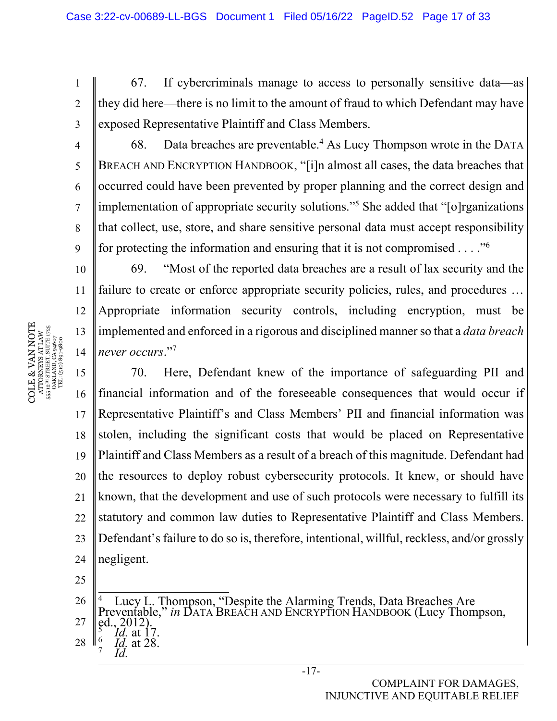67. If cybercriminals manage to access to personally sensitive data—as they did here—there is no limit to the amount of fraud to which Defendant may have exposed Representative Plaintiff and Class Members.

68. Data breaches are preventable.<sup>4</sup> As Lucy Thompson wrote in the DATA BREACH AND ENCRYPTION HANDBOOK, "[i]n almost all cases, the data breaches that occurred could have been prevented by proper planning and the correct design and implementation of appropriate security solutions."5 She added that "[o]rganizations that collect, use, store, and share sensitive personal data must accept responsibility for protecting the information and ensuring that it is not compromised  $\dots$ ."<sup>6</sup>

69. "Most of the reported data breaches are a result of lax security and the failure to create or enforce appropriate security policies, rules, and procedures ... Appropriate information security controls, including encryption, must be implemented and enforced in a rigorous and disciplined manner so that a *data breach never occurs*."7

15 16 17 18 19 20 21 22 23 24 70. Here, Defendant knew of the importance of safeguarding PII and financial information and of the foreseeable consequences that would occur if Representative Plaintiff's and Class Members' PII and financial information was stolen, including the significant costs that would be placed on Representative Plaintiff and Class Members as a result of a breach of this magnitude. Defendant had the resources to deploy robust cybersecurity protocols. It knew, or should have known, that the development and use of such protocols were necessary to fulfill its statutory and common law duties to Representative Plaintiff and Class Members. Defendant's failure to do so is, therefore, intentional, willful, reckless, and/or grossly negligent.

25

 *Id.*

26 27 28 4 Lucy L. Thompson, "Despite the Alarming Trends, Data Breaches Are Preventable," *in* DATA BREACH AND ENCRYPTION HANDBOOK (Lucy Thompson, ed., 2012). ed., 2012).  *Id.* at 17. 6  *Id.* at 28. 7

COLE & VAN NOTE  $\begin{array}{c} {\text{ATTORNEXS AT LAW}}\\ 555\,\,12^{76}\,\,878\,\text{ERT, SUTIE}\,\,1725\\ \text{OAKLAND, CA 94607}\\ \text{TEL: (510)}\,\,891\text{-}9800 \end{array}$ COLE & VAN NOTE 555 12TH STREET, SUITE 1725 ATTORNEYS AT LAW OAKLAND, CA 94607 TEL: (510) 891-9800 555

1

2

3

4

5

6

7

8

9

10

11

12

13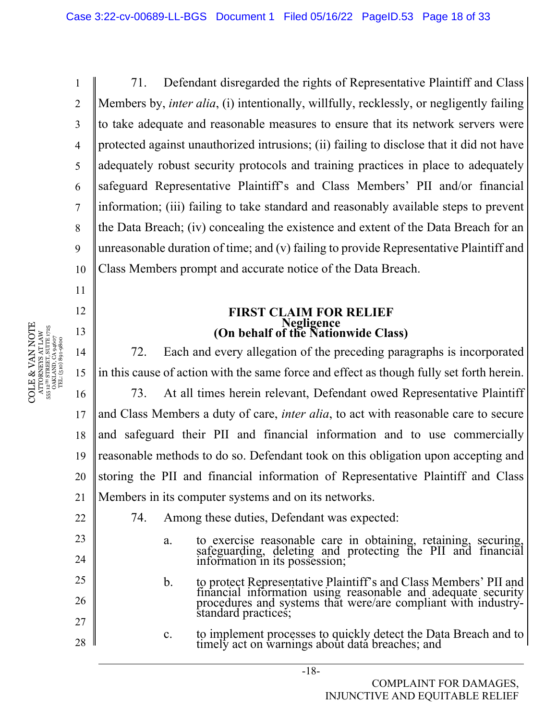1 2 3 4 5 6 7 8 9 10 71. Defendant disregarded the rights of Representative Plaintiff and Class Members by, *inter alia*, (i) intentionally, willfully, recklessly, or negligently failing to take adequate and reasonable measures to ensure that its network servers were protected against unauthorized intrusions; (ii) failing to disclose that it did not have adequately robust security protocols and training practices in place to adequately safeguard Representative Plaintiff's and Class Members' PII and/or financial information; (iii) failing to take standard and reasonably available steps to prevent the Data Breach; (iv) concealing the existence and extent of the Data Breach for an unreasonable duration of time; and (v) failing to provide Representative Plaintiff and Class Members prompt and accurate notice of the Data Breach.

# **FIRST CLAIM FOR RELIEF Negligence (On behalf of the Nationwide Class)**

14 15 16 17 18 19 20 21 72. Each and every allegation of the preceding paragraphs is incorporated in this cause of action with the same force and effect as though fully set forth herein. 73. At all times herein relevant, Defendant owed Representative Plaintiff and Class Members a duty of care, *inter alia*, to act with reasonable care to secure and safeguard their PII and financial information and to use commercially reasonable methods to do so. Defendant took on this obligation upon accepting and storing the PII and financial information of Representative Plaintiff and Class Members in its computer systems and on its networks.

22

23

24

25

26

27

28

- 74. Among these duties, Defendant was expected:
	- a. to exercise reasonable care in obtaining, retaining, securing, safeguarding, deleting and protecting the PII and financial information in its possession;
	- b. to protect Representative Plaintiff's and Class Members' PII and financial information using reasonable and adequate security procedures and systems that were/are compliant with industry- standard practices;
	- c. to implement processes to quickly detect the Data Breach and to timely act on warnings about data breaches; and

11

12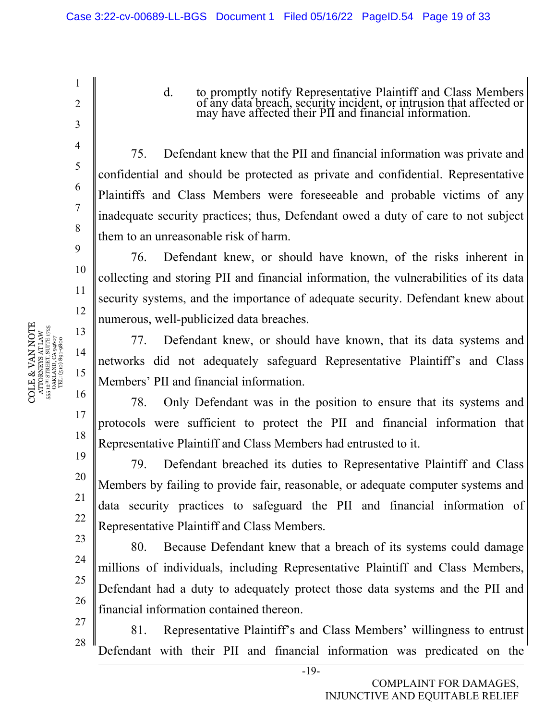75. Defendant knew that the PII and financial information was private and confidential and should be protected as private and confidential. Representative Plaintiffs and Class Members were foreseeable and probable victims of any inadequate security practices; thus, Defendant owed a duty of care to not subject them to an unreasonable risk of harm.

d. to promptly notify Representative Plaintiff and Class Members

of any data breach, security incident, or intrusion that affected or may have affected their PII and financial information.

76. Defendant knew, or should have known, of the risks inherent in collecting and storing PII and financial information, the vulnerabilities of its data security systems, and the importance of adequate security. Defendant knew about numerous, well-publicized data breaches.

77. Defendant knew, or should have known, that its data systems and networks did not adequately safeguard Representative Plaintiff's and Class Members' PII and financial information.

78. Only Defendant was in the position to ensure that its systems and protocols were sufficient to protect the PII and financial information that Representative Plaintiff and Class Members had entrusted to it.

19 79. Defendant breached its duties to Representative Plaintiff and Class Members by failing to provide fair, reasonable, or adequate computer systems and data security practices to safeguard the PII and financial information of Representative Plaintiff and Class Members.

23 80. Because Defendant knew that a breach of its systems could damage millions of individuals, including Representative Plaintiff and Class Members, Defendant had a duty to adequately protect those data systems and the PII and financial information contained thereon.

81. Representative Plaintiff's and Class Members' willingness to entrust Defendant with their PII and financial information was predicated on the

 $\begin{array}{c} \text{COLE} \& \text{VAN NOTE} \\\text{ATTORNENS AT LAW} \\\text{s5: } \text{a}^{\text{un} \text{SRREITS}} \text{ SUTE} \text{ J75} \\\text{s5: } \text{a}^{\text{un} \text{SRREITS}} \text{ SUTE} \text{ J75} \\\text{s5: } \text{a}^{\text{un} \text{S}} \text{J81} \text{J81} \text{J83} \\\text{J72} \\\text{T2} \text{L} \text{(510)} \text{S0} \text{9} \text{4607} \end{array}$ COLE & VAN NOTE 555 12TH STREET, SUITE 1725 ATTORNEYS AT LAW OAKLAND, CA 94607 TEL: (510) 891-9800 15

1

2

3

4

5

6

7

8

9

10

11

12

13

14

16

17

18

20

21

22

24

25

26

27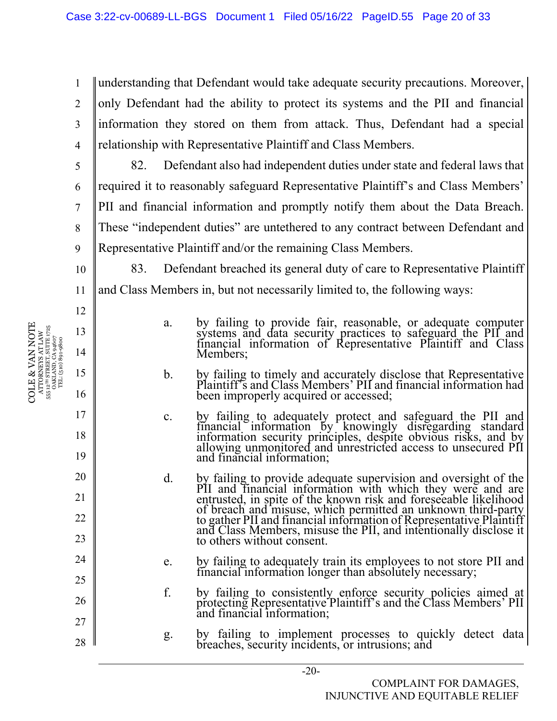1 2 3 4 understanding that Defendant would take adequate security precautions. Moreover, only Defendant had the ability to protect its systems and the PII and financial information they stored on them from attack. Thus, Defendant had a special relationship with Representative Plaintiff and Class Members.

82. Defendant also had independent duties under state and federal laws that required it to reasonably safeguard Representative Plaintiff's and Class Members' PII and financial information and promptly notify them about the Data Breach. These "independent duties" are untethered to any contract between Defendant and Representative Plaintiff and/or the remaining Class Members.

10 11 83. Defendant breached its general duty of care to Representative Plaintiff and Class Members in, but not necessarily limited to, the following ways:

- a. by failing to provide fair, reasonable, or adequate computer systems and data security practices to safeguard the PII and financial information of Representative Plaintiff and Class Members;
- b. by failing to timely and accurately disclose that Representative Plaintiff's and Class Members' PII and financial information had been improperly acquired or accessed;
- c. by failing to adequately protect and safeguard the PII and financial information by knowingly disregarding standard information security principles, despite obvious risks, and by allowing unmonitored and unrestricted ac and financial information;
- d. by failing to provide adequate supervision and oversight of the PII and financial information with which they were and are entrusted, in spite of the known risk and foreseeable likelihood of breach and misuse, which permitted an unknown third-party to gather PII and financial information of Representative Plaintiff and Class Members, misuse the PII, and intentionally disclose it to others without consent.
- e. by failing to adequately train its employees to not store PII and financial information longer than absolutely necessary;
- f. by failing to consistently enforce security policies aimed at protecting Representative Plaintiff's and the Class Members' PII and financial information;
- g. by failing to implement processes to quickly detect data breaches, security incidents, or intrusions; and

COLE & VAN NOTE  $\begin{array}{c} \text{ATTORNRYS AT LAW} \\ \text{555 12}^{\text{th}} \text{ STRERT, SUTEN} \text{ 1725} \\ \text{0AKLAND, CA 94607} \\ \text{TEL: (510) 891-9800} \end{array}$ COLE & VAN NOTE 555 12TH STREET, SUITE 1725 ATTORNEYS AT LAW OAKLAND, CA 94607 TEL: (510) 891-9800

5

6

7

8

9

12

13

14

15

16

17

18

19

20

21

22

23

24

25

26

27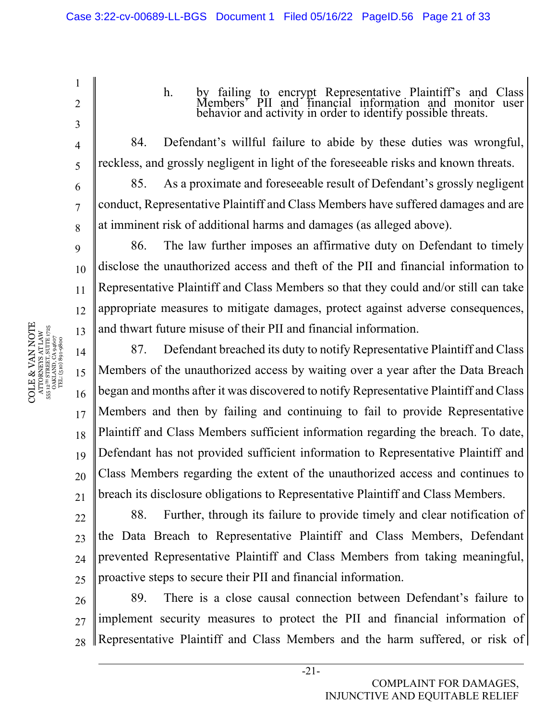1 2 3 4 5 6 7 8 9 10 11 12 13 14 15 16 17 18 19 20 21  $22$ 23 h. by failing to encrypt Representative Plaintiff's and Class Members' PII and financial information and monitor user behavior and activity in order to identify possible threats. 84. Defendant's willful failure to abide by these duties was wrongful, reckless, and grossly negligent in light of the foreseeable risks and known threats. 85. As a proximate and foreseeable result of Defendant's grossly negligent conduct, Representative Plaintiff and Class Members have suffered damages and are at imminent risk of additional harms and damages (as alleged above). 86. The law further imposes an affirmative duty on Defendant to timely disclose the unauthorized access and theft of the PII and financial information to Representative Plaintiff and Class Members so that they could and/or still can take appropriate measures to mitigate damages, protect against adverse consequences, and thwart future misuse of their PII and financial information. 87. Defendant breached its duty to notify Representative Plaintiff and Class Members of the unauthorized access by waiting over a year after the Data Breach began and months after it was discovered to notify Representative Plaintiff and Class Members and then by failing and continuing to fail to provide Representative Plaintiff and Class Members sufficient information regarding the breach. To date, Defendant has not provided sufficient information to Representative Plaintiff and Class Members regarding the extent of the unauthorized access and continues to breach its disclosure obligations to Representative Plaintiff and Class Members. 88. Further, through its failure to provide timely and clear notification of

24  $25$ the Data Breach to Representative Plaintiff and Class Members, Defendant prevented Representative Plaintiff and Class Members from taking meaningful, proactive steps to secure their PII and financial information.

26 27 28 89. There is a close causal connection between Defendant's failure to implement security measures to protect the PII and financial information of Representative Plaintiff and Class Members and the harm suffered, or risk of

 $\begin{array}{c} \text{COLE} \& \text{VAN NOTE} \\\text{ATTORNENS AT LAW} \\\text{s5: } \text{a}^{\text{un} \text{SRREITS}} \text{ SUTE} \text{ J75} \\\text{s5: } \text{a}^{\text{un} \text{SRREITS}} \text{ SUTE} \text{ J75} \\\text{s5: } \text{a}^{\text{un} \text{S}} \text{J81} \text{J81} \text{J83} \\\text{J72} \\\text{T2} \text{L} \text{(510)} \text{S0} \text{9} \text{4607} \end{array}$ COLE & VAN NOTE 555 12TH STREET, SUITE 1725 ATTORNEYS AT LAW OAKLAND, CA 94607 TEL: (510) 891-9800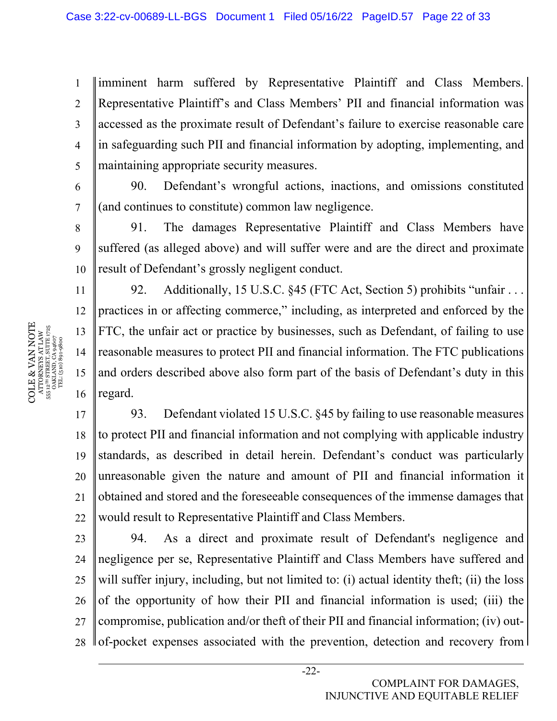1 2 3 4 5 imminent harm suffered by Representative Plaintiff and Class Members. Representative Plaintiff's and Class Members' PII and financial information was accessed as the proximate result of Defendant's failure to exercise reasonable care in safeguarding such PII and financial information by adopting, implementing, and maintaining appropriate security measures.

90. Defendant's wrongful actions, inactions, and omissions constituted (and continues to constitute) common law negligence.

10 91. The damages Representative Plaintiff and Class Members have suffered (as alleged above) and will suffer were and are the direct and proximate result of Defendant's grossly negligent conduct.

92. Additionally, 15 U.S.C. §45 (FTC Act, Section 5) prohibits "unfair . . . practices in or affecting commerce," including, as interpreted and enforced by the FTC, the unfair act or practice by businesses, such as Defendant, of failing to use reasonable measures to protect PII and financial information. The FTC publications and orders described above also form part of the basis of Defendant's duty in this regard.

17 18 19 20 21 22 93. Defendant violated 15 U.S.C. §45 by failing to use reasonable measures to protect PII and financial information and not complying with applicable industry standards, as described in detail herein. Defendant's conduct was particularly unreasonable given the nature and amount of PII and financial information it obtained and stored and the foreseeable consequences of the immense damages that would result to Representative Plaintiff and Class Members.

23 24 25 26 27 28 94. As a direct and proximate result of Defendant's negligence and negligence per se, Representative Plaintiff and Class Members have suffered and will suffer injury, including, but not limited to: (i) actual identity theft; (ii) the loss of the opportunity of how their PII and financial information is used; (iii) the compromise, publication and/or theft of their PII and financial information; (iv) outof-pocket expenses associated with the prevention, detection and recovery from

COLE & VAN NOTE COLE & VAN NOTE 555 12TH STREET, SUITE 1725 ATTORNEYS AT LAW OAKLAND, CA 94607 TEL: (510) 891-9800 555

6

7

8

9

11

12

13

14

15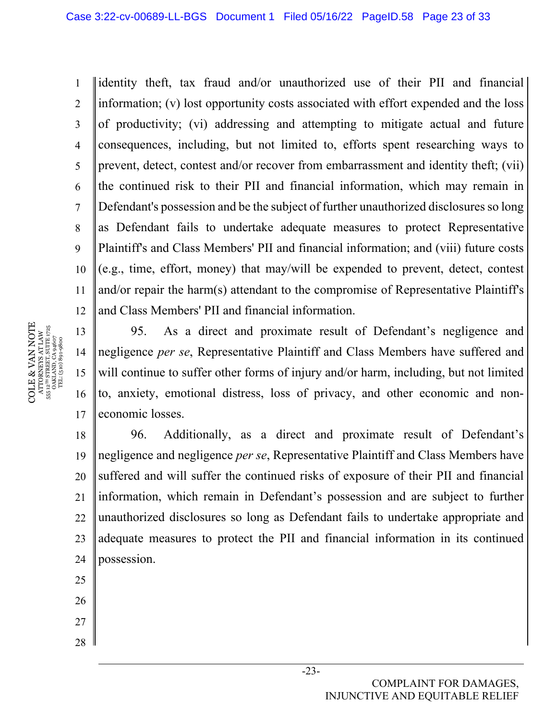1 2 3 4 5 6 7 8 9 10 11 12 identity theft, tax fraud and/or unauthorized use of their PII and financial information; (v) lost opportunity costs associated with effort expended and the loss of productivity; (vi) addressing and attempting to mitigate actual and future consequences, including, but not limited to, efforts spent researching ways to prevent, detect, contest and/or recover from embarrassment and identity theft; (vii) the continued risk to their PII and financial information, which may remain in Defendant's possession and be the subject of further unauthorized disclosures so long as Defendant fails to undertake adequate measures to protect Representative Plaintiff's and Class Members' PII and financial information; and (viii) future costs (e.g., time, effort, money) that may/will be expended to prevent, detect, contest and/or repair the harm(s) attendant to the compromise of Representative Plaintiff's and Class Members' PII and financial information.

13 14 15 16 17 95. As a direct and proximate result of Defendant's negligence and negligence *per se*, Representative Plaintiff and Class Members have suffered and will continue to suffer other forms of injury and/or harm, including, but not limited to, anxiety, emotional distress, loss of privacy, and other economic and noneconomic losses.

18 19 20 21 22 23 24 96. Additionally, as a direct and proximate result of Defendant's negligence and negligence *per se*, Representative Plaintiff and Class Members have suffered and will suffer the continued risks of exposure of their PII and financial information, which remain in Defendant's possession and are subject to further unauthorized disclosures so long as Defendant fails to undertake appropriate and adequate measures to protect the PII and financial information in its continued possession.

- 25
- 26
- 27
- 28

COLE & VAN NOTE  $\begin{array}{c} {\text{ATTORNERS AT LAW}} \\ 55\,\,12^{78}\,\, \text{STRERT, SUTER}\,\, 1725 \\ \text{OAKLAND, CA 94607} \\ \text{TEL: (510)}\,\,891\text{-}9800 \end{array}$ COLE & VAN NOTE 555 12TH STREET, SUITE 1725 ATTORNEYS AT LAW OAKLAND, CA 94607 TEL: (510) 891-9800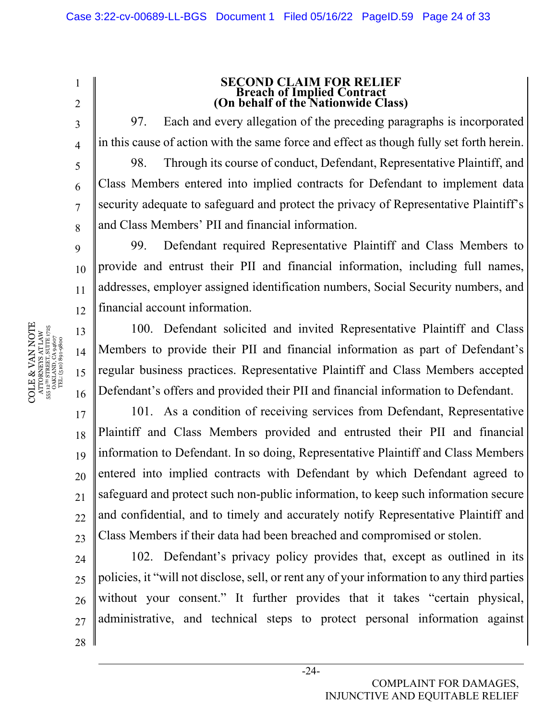2

3

4

5

6

7

8

9

13

14

15

16

1

# **SECOND CLAIM FOR RELIEF (On behalf of the Nationwide Class)**

97. Each and every allegation of the preceding paragraphs is incorporated in this cause of action with the same force and effect as though fully set forth herein. 98. Through its course of conduct, Defendant, Representative Plaintiff, and Class Members entered into implied contracts for Defendant to implement data security adequate to safeguard and protect the privacy of Representative Plaintiff's and Class Members' PII and financial information.

10 11 12 99. Defendant required Representative Plaintiff and Class Members to provide and entrust their PII and financial information, including full names, addresses, employer assigned identification numbers, Social Security numbers, and financial account information.

100. Defendant solicited and invited Representative Plaintiff and Class Members to provide their PII and financial information as part of Defendant's regular business practices. Representative Plaintiff and Class Members accepted Defendant's offers and provided their PII and financial information to Defendant.

17 18 19 20 21  $22$ 23 101. As a condition of receiving services from Defendant, Representative Plaintiff and Class Members provided and entrusted their PII and financial information to Defendant. In so doing, Representative Plaintiff and Class Members entered into implied contracts with Defendant by which Defendant agreed to safeguard and protect such non-public information, to keep such information secure and confidential, and to timely and accurately notify Representative Plaintiff and Class Members if their data had been breached and compromised or stolen.

24  $25$ 26 27 28 102. Defendant's privacy policy provides that, except as outlined in its policies, it "will not disclose, sell, or rent any of your information to any third parties without your consent." It further provides that it takes "certain physical, administrative, and technical steps to protect personal information against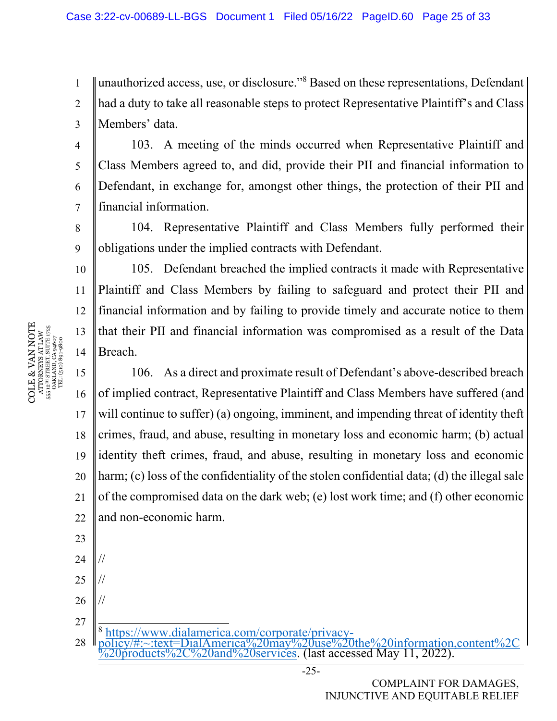1 2 3 unauthorized access, use, or disclosure."8 Based on these representations, Defendant had a duty to take all reasonable steps to protect Representative Plaintiff's and Class Members' data.

103. A meeting of the minds occurred when Representative Plaintiff and Class Members agreed to, and did, provide their PII and financial information to Defendant, in exchange for, amongst other things, the protection of their PII and financial information.

8 9 104. Representative Plaintiff and Class Members fully performed their obligations under the implied contracts with Defendant.

105. Defendant breached the implied contracts it made with Representative Plaintiff and Class Members by failing to safeguard and protect their PII and financial information and by failing to provide timely and accurate notice to them that their PII and financial information was compromised as a result of the Data Breach.

15 16 17 18 19 20 21 22 106. As a direct and proximate result of Defendant's above-described breach of implied contract, Representative Plaintiff and Class Members have suffered (and will continue to suffer) (a) ongoing, imminent, and impending threat of identity theft crimes, fraud, and abuse, resulting in monetary loss and economic harm; (b) actual identity theft crimes, fraud, and abuse, resulting in monetary loss and economic harm; (c) loss of the confidentiality of the stolen confidential data; (d) the illegal sale of the compromised data on the dark web; (e) lost work time; and (f) other economic and non-economic harm.

27 28 <sup>8</sup> https://www.dialamerica.com/corporate/privacy-<br>policy/#:~:text=DialAmerica%20may%20use%20the%20information.content%20  $\sqrt{20}$ products $\sqrt{2C\%20}$ and $\sqrt{20}$ services. (last accessed May 11, 2022).

COLE & VAN NOTE COLE & VAN NOTE  $\begin{array}{c} {\text{AT} \text{O} \text{R} \text{N} \text{E} \text{S} \text{A} \text{T} \text{L} \text{A} \text{W}} \\ 55 \text{ } 12^{\text{7H}} \text{ S} \text{TR} \text{E} \text{T}, \text{S} \text{U} \text{I} \text{E} \text{I} \text{7} \text{2} \text{5} \\ 0 \text{AK} \text{L} \text{A} \text{N} \text{D}, \text{C} \text{A} \text{9} \text{4} \text{6} \text{7} \\ \text{TEL: (510)} \text{8} \text{91-9$ 555 12TH STREET, SUITE 1725 1725 ATTORNEYS AT LAW OAKLAND, CA 94607 TEL: (510) 891-9800

4

5

6

7

10

11

12

13

14

23

24

//

//

//

25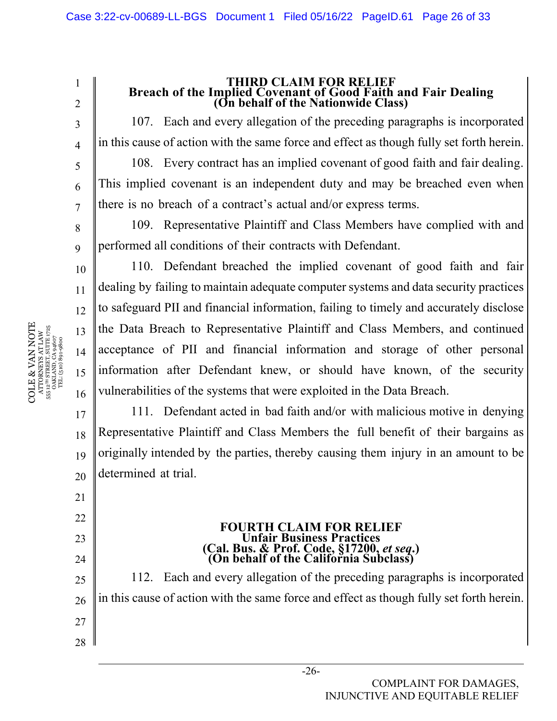1 2

3

4

5

6

7

8

9

10

11

12

13

14

15

16

21

22

23

24

# **THIRD CLAIM FOR RELIEF Breach of the Implied Covenant of Good Faith and Fair Dealing (On behalf of the Nationwide Class)**

107. Each and every allegation of the preceding paragraphs is incorporated in this cause of action with the same force and effect as though fully set forth herein.

108. Every contract has an implied covenant of good faith and fair dealing. This implied covenant is an independent duty and may be breached even when there is no breach of a contract's actual and/or express terms.

109. Representative Plaintiff and Class Members have complied with and performed all conditions of their contracts with Defendant.

110. Defendant breached the implied covenant of good faith and fair dealing by failing to maintain adequate computer systems and data security practices to safeguard PII and financial information, failing to timely and accurately disclose the Data Breach to Representative Plaintiff and Class Members, and continued acceptance of PII and financial information and storage of other personal information after Defendant knew, or should have known, of the security vulnerabilities of the systems that were exploited in the Data Breach.

17 18 19 20 111. Defendant acted in bad faith and/or with malicious motive in denying Representative Plaintiff and Class Members the full benefit of their bargains as originally intended by the parties, thereby causing them injury in an amount to be determined at trial.

## **FOURTH CLAIM FOR RELIEF Unfair Business Practices (Cal. Bus. & Prof. Code, §17200,** *et seq***.) (On behalf of the California Subclass)**

25 26 27 28 112. Each and every allegation of the preceding paragraphs is incorporated in this cause of action with the same force and effect as though fully set forth herein.

COLE & VAN NOTE  $\begin{array}{c} {\text{ATTORNEXS AT LAW}} \\ 555 \text{ } 12^{\text{7H}} \text{ } {\text{STREIT, SUTE}} \text{ } 1725 \\ 0 {\text{AKLAND, CA 94607}} \\ \text{TEL: (510) 891-9800} \end{array}$ COLE & VAN NOTE 555 12TH STREET, SUITE 1725 ATTORNEYS AT LAW OAKLAND, CA 94607 TEL: (510) 891-9800 555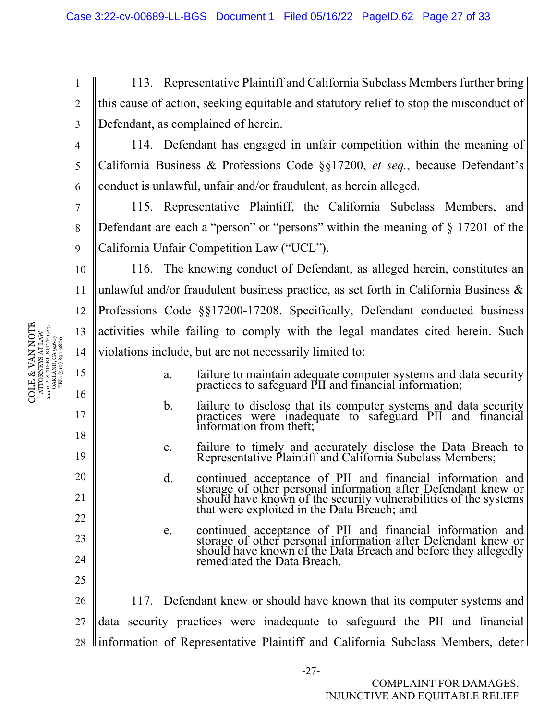113. Representative Plaintiff and California Subclass Members further bring this cause of action, seeking equitable and statutory relief to stop the misconduct of Defendant, as complained of herein.

114. Defendant has engaged in unfair competition within the meaning of California Business & Professions Code §§17200, *et seq.*, because Defendant's conduct is unlawful, unfair and/or fraudulent, as herein alleged.

115. Representative Plaintiff, the California Subclass Members, and Defendant are each a "person" or "persons" within the meaning of  $\S$  17201 of the California Unfair Competition Law ("UCL").

10 11 12 13 14 116. The knowing conduct of Defendant, as alleged herein, constitutes an unlawful and/or fraudulent business practice, as set forth in California Business  $\&$ Professions Code §§17200-17208. Specifically, Defendant conducted business activities while failing to comply with the legal mandates cited herein. Such violations include, but are not necessarily limited to:

- a. failure to maintain adequate computer systems and data security practices to safeguard PII and financial information;
- b. failure to disclose that its computer systems and data security practices were inadequate to safeguard PII and financial information from theft;
- c. failure to timely and accurately disclose the Data Breach to Representative Plaintiff and California Subclass Members;
- d. continued acceptance of PII and financial information and storage of other personal information after Defendant knew or should have known of the security vulnerabilities of the systems that were exploited in the Data Breach; and
- e. continued acceptance of PII and financial information and storage of other personal information after Defendant knew or should have known of the Data Breach and before they allegedly remediated the Data Breach.

26 27 28 117. Defendant knew or should have known that its computer systems and data security practices were inadequate to safeguard the PII and financial llinformation of Representative Plaintiff and California Subclass Members, deter l

1

2

3

4

5

6

7

8

9

15

16

17

18

19

20

21

22

23

24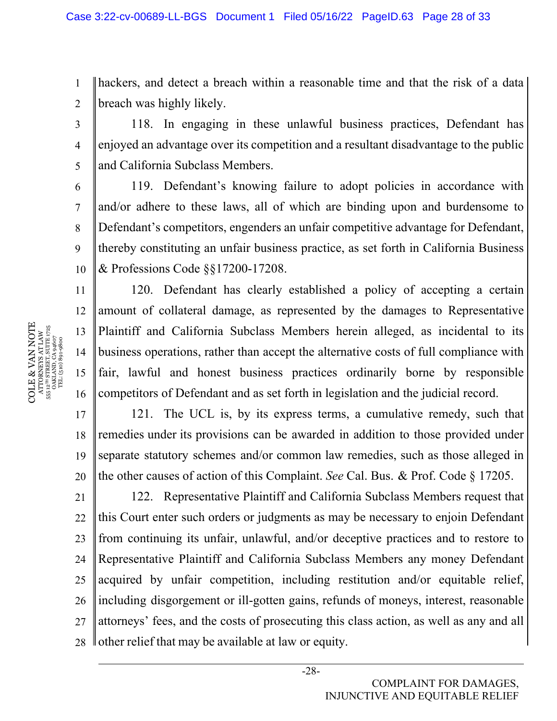1 2 hackers, and detect a breach within a reasonable time and that the risk of a data breach was highly likely.

118. In engaging in these unlawful business practices, Defendant has enjoyed an advantage over its competition and a resultant disadvantage to the public and California Subclass Members.

10 119. Defendant's knowing failure to adopt policies in accordance with and/or adhere to these laws, all of which are binding upon and burdensome to Defendant's competitors, engenders an unfair competitive advantage for Defendant, thereby constituting an unfair business practice, as set forth in California Business & Professions Code §§17200-17208.

120. Defendant has clearly established a policy of accepting a certain amount of collateral damage, as represented by the damages to Representative Plaintiff and California Subclass Members herein alleged, as incidental to its business operations, rather than accept the alternative costs of full compliance with fair, lawful and honest business practices ordinarily borne by responsible competitors of Defendant and as set forth in legislation and the judicial record.

17 18 19 20 121. The UCL is, by its express terms, a cumulative remedy, such that remedies under its provisions can be awarded in addition to those provided under separate statutory schemes and/or common law remedies, such as those alleged in the other causes of action of this Complaint. *See* Cal. Bus. & Prof. Code § 17205.

21 22 23 24 25 26 27 28 122. Representative Plaintiff and California Subclass Members request that this Court enter such orders or judgments as may be necessary to enjoin Defendant from continuing its unfair, unlawful, and/or deceptive practices and to restore to Representative Plaintiff and California Subclass Members any money Defendant acquired by unfair competition, including restitution and/or equitable relief, including disgorgement or ill-gotten gains, refunds of moneys, interest, reasonable attorneys' fees, and the costs of prosecuting this class action, as well as any and all other relief that may be available at law or equity.

COLE & VAN NOTE  $\begin{array}{c} {\text{ATTORNEXS AT LAW}} \\ 555 \text{ } 12^{\text{7H}} \text{ } {\text{STREIT, SUTE}} \text{ } 1725 \\ 0 {\text{AKLAND, CA 94607}} \\ \text{TEL: (510) 891-9800} \end{array}$ COLE & VAN NOTE 555 12TH STREET, SUITE 1725 ATTORNEYS AT LAW OAKLAND, CA 94607 TEL: (510) 891-9800 555

3

4

5

6

7

8

9

11

12

13

14

15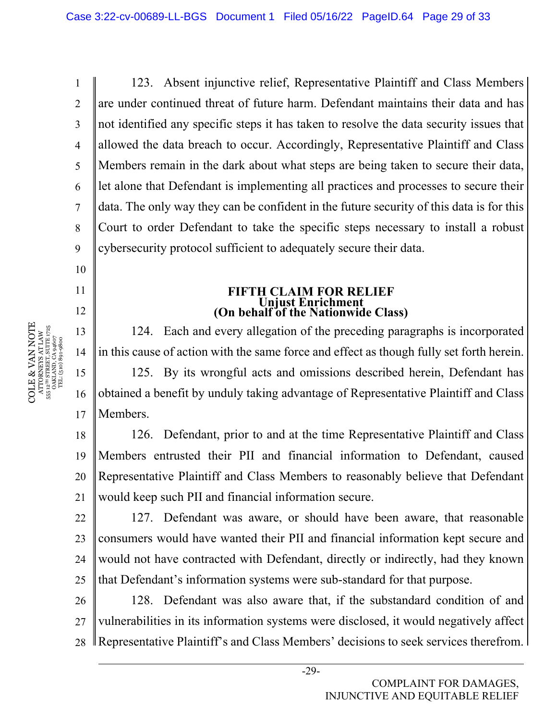123. Absent injunctive relief, Representative Plaintiff and Class Members are under continued threat of future harm. Defendant maintains their data and has not identified any specific steps it has taken to resolve the data security issues that allowed the data breach to occur. Accordingly, Representative Plaintiff and Class Members remain in the dark about what steps are being taken to secure their data, let alone that Defendant is implementing all practices and processes to secure their data. The only way they can be confident in the future security of this data is for this Court to order Defendant to take the specific steps necessary to install a robust cybersecurity protocol sufficient to adequately secure their data.

# **FIFTH CLAIM FOR RELIEF (On behalf of the Nationwide Class)**

124. Each and every allegation of the preceding paragraphs is incorporated in this cause of action with the same force and effect as though fully set forth herein. 125. By its wrongful acts and omissions described herein, Defendant has obtained a benefit by unduly taking advantage of Representative Plaintiff and Class Members.

18 19 20 21 126. Defendant, prior to and at the time Representative Plaintiff and Class Members entrusted their PII and financial information to Defendant, caused Representative Plaintiff and Class Members to reasonably believe that Defendant would keep such PII and financial information secure.

22 23 24 25 127. Defendant was aware, or should have been aware, that reasonable consumers would have wanted their PII and financial information kept secure and would not have contracted with Defendant, directly or indirectly, had they known that Defendant's information systems were sub-standard for that purpose.

26 27 28 128. Defendant was also aware that, if the substandard condition of and vulnerabilities in its information systems were disclosed, it would negatively affect Representative Plaintiff's and Class Members' decisions to seek services therefrom.

COLE & VAN NOTE COLE & VAN NOTE 555 12TH STREET, SUITE 1725 ATTORNEYS AT LAW OAKLAND, CA 94607 TEL: (510) 891-9800 555

1

2

3

4

5

6

7

8

9

10

11

12

13

14

15

16

<sup>-29-</sup>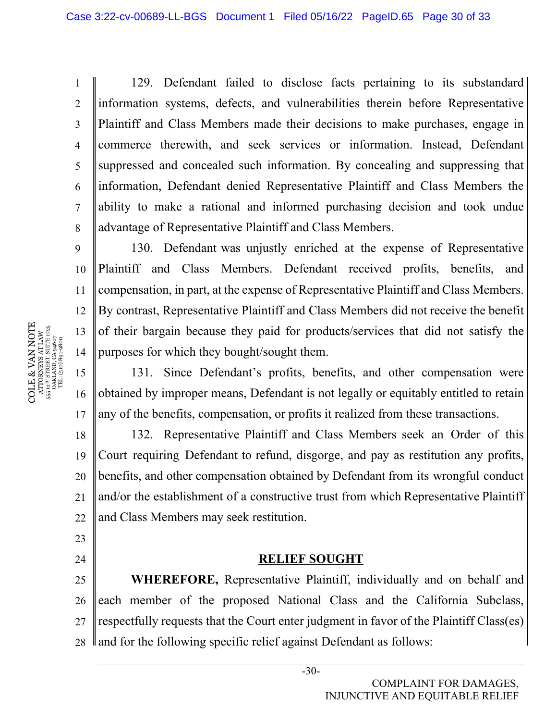129. Defendant failed to disclose facts pertaining to its substandard information systems, defects, and vulnerabilities therein before Representative Plaintiff and Class Members made their decisions to make purchases, engage in commerce therewith, and seek services or information. Instead, Defendant suppressed and concealed such information. By concealing and suppressing that information, Defendant denied Representative Plaintiff and Class Members the ability to make a rational and informed purchasing decision and took undue advantage of Representative Plaintiff and Class Members.

10 11 12 13 14 130. Defendant was unjustly enriched at the expense of Representative Plaintiff and Class Members. Defendant received profits, benefits, and compensation, in part, at the expense of Representative Plaintiff and Class Members. By contrast, Representative Plaintiff and Class Members did not receive the benefit of their bargain because they paid for products/services that did not satisfy the purposes for which they bought/sought them.

15 16 17 131. Since Defendant's profits, benefits, and other compensation were obtained by improper means, Defendant is not legally or equitably entitled to retain any of the benefits, compensation, or profits it realized from these transactions.

18 19 20 21 22 132. Representative Plaintiff and Class Members seek an Order of this Court requiring Defendant to refund, disgorge, and pay as restitution any profits, benefits, and other compensation obtained by Defendant from its wrongful conduct and/or the establishment of a constructive trust from which Representative Plaintiff and Class Members may seek restitution.

## **RELIEF SOUGHT**

25 26 27 28 **WHEREFORE,** Representative Plaintiff, individually and on behalf and each member of the proposed National Class and the California Subclass, respectfully requests that the Court enter judgment in favor of the Plaintiff Class(es) and for the following specific relief against Defendant as follows:

COLE & VAN NOTE  $\begin{array}{l} {\bf ATIONRYSI~AT} \\ {\bf 55.12^m~STREIT,~SUTLAW} \\ {\bf 0AKLAND,~CA~9~4607} \\ {\bf 1FL.~(510)~891-9800} \end{array}$ COLE & VAN NOTE 555 12TH STREET, SUITE 1725 ATTORNEYS AT LAW OAKLAND, CA 94607 TEL: (510) 891-9800

1

2

3

4

5

6

7

8

- 23
- 24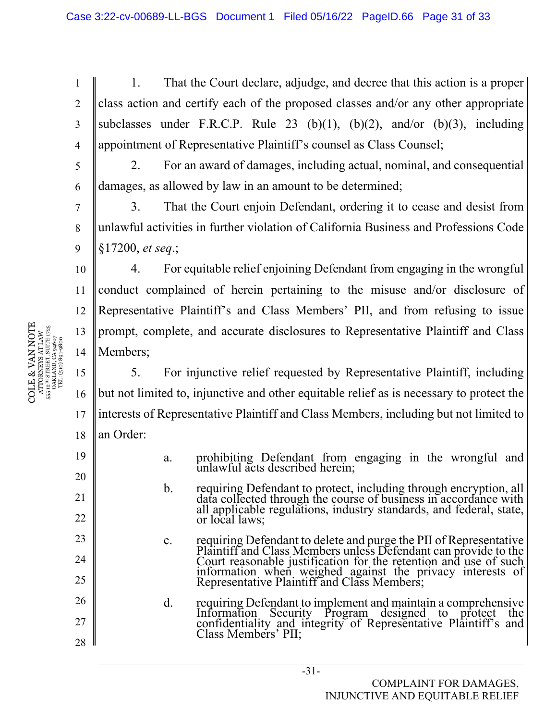1 2 3 4 1. That the Court declare, adjudge, and decree that this action is a proper class action and certify each of the proposed classes and/or any other appropriate subclasses under F.R.C.P. Rule 23 (b)(1), (b)(2), and/or (b)(3), including appointment of Representative Plaintiff's counsel as Class Counsel;

2. For an award of damages, including actual, nominal, and consequential damages, as allowed by law in an amount to be determined;

7 8 9 3. That the Court enjoin Defendant, ordering it to cease and desist from unlawful activities in further violation of California Business and Professions Code §17200, *et seq*.;

4. For equitable relief enjoining Defendant from engaging in the wrongful conduct complained of herein pertaining to the misuse and/or disclosure of Representative Plaintiff's and Class Members' PII, and from refusing to issue prompt, complete, and accurate disclosures to Representative Plaintiff and Class Members;

5. For injunctive relief requested by Representative Plaintiff, including but not limited to, injunctive and other equitable relief as is necessary to protect the interests of Representative Plaintiff and Class Members, including but not limited to an Order:

- a. prohibiting Defendant from engaging in the wrongful and unlawful acts described herein;
	- b. requiring Defendant to protect, including through encryption, all data collected through the course of business in accordance with all applicable regulations, industry standards, and federal, state, or local laws;
	- c. requiring Defendant to delete and purge the PII of Representative<br>Plaintiff and Class Members unless Defendant can provide to the Frammation when weighed against the privacy interests of Representative Plaintiff and Class Members;
- d. requiring Defendant to implement and maintain a comprehensive Information Security Program designed to protect the confidentiality and integrity of Representative Plaintiff's and Class Members' PII;

 $\begin{array}{c} \mathrm{COLE} \& \mathrm{VAN\,NOTE} \\\mathrm{ATTORURYS\ AT\,LAW} \\\mathrm{555\,12^{10}\,SIREERIS\,SUTE\,1725} \\\mathrm{555\,12^{10}\,SIRETS\,SUTE\,1725} \\\mathrm{TEL: (510)\,801\,9607} \\\mathrm{TEL: (510)\,801\,9600} \end{array}$ COLE & VAN NOTE 555 12TH STREET, SUITE 1725 ATTORNEYS AT LAW OAKLAND, CA 94607 TEL: (510) 891-9800

5

6

10

11

12

13

14

15

16

17

18

19

20

21

22

23

24

25

26

27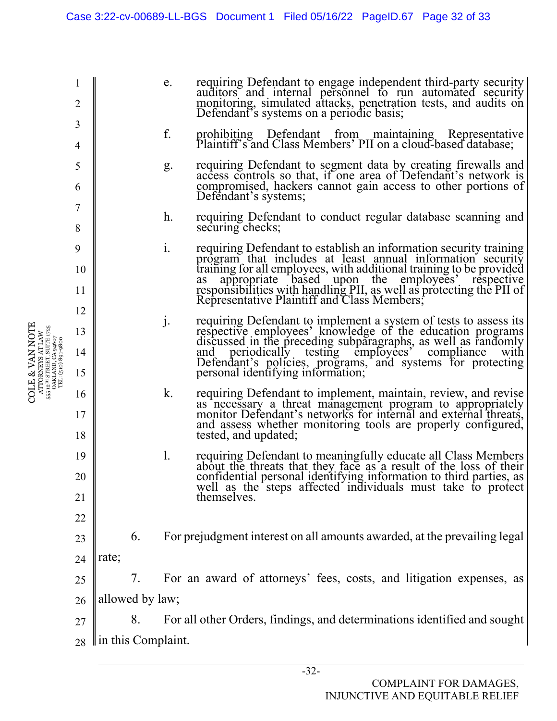|                                                                                                                                                                                                                   | 2        |                                                                                |    | e.                                                                       | requiring Defendant to engage independent third-party security<br>auditors and internal personnel to run automated security<br>monitoring, simulated attacks, penetration tests, and audits on<br>Defendant's systems on a periodic basis;                                                                                                                                           |  |  |  |
|-------------------------------------------------------------------------------------------------------------------------------------------------------------------------------------------------------------------|----------|--------------------------------------------------------------------------------|----|--------------------------------------------------------------------------|--------------------------------------------------------------------------------------------------------------------------------------------------------------------------------------------------------------------------------------------------------------------------------------------------------------------------------------------------------------------------------------|--|--|--|
|                                                                                                                                                                                                                   | 3<br>4   |                                                                                |    | f.                                                                       | prohibiting Defendant from maintaining Representative<br>Plaintiff's and Class Members' PII on a cloud-based database;                                                                                                                                                                                                                                                               |  |  |  |
|                                                                                                                                                                                                                   | 5<br>6   |                                                                                |    | g.                                                                       | requiring Defendant to segment data by creating firewalls and<br>access controls so that, if one area of Defendant's network is<br>compromised, hackers cannot gain access to other portions of                                                                                                                                                                                      |  |  |  |
|                                                                                                                                                                                                                   | 7        |                                                                                |    | h.                                                                       | Defendant's systems;<br>requiring Defendant to conduct regular database scanning and                                                                                                                                                                                                                                                                                                 |  |  |  |
|                                                                                                                                                                                                                   | 8        |                                                                                |    |                                                                          | securing checks;                                                                                                                                                                                                                                                                                                                                                                     |  |  |  |
|                                                                                                                                                                                                                   | 9<br>10  |                                                                                |    | 1.                                                                       | requiring Defendant to establish an information security training<br>program that includes at least annual information security<br>training for all employees, with additional training to be provided<br>as appropriate based upon the employees' respective<br>responsibilities with handling PII, as well as protecting the PII of<br>Representative Plaintiff and Class Members; |  |  |  |
|                                                                                                                                                                                                                   | 11       |                                                                                |    |                                                                          |                                                                                                                                                                                                                                                                                                                                                                                      |  |  |  |
|                                                                                                                                                                                                                   | 12       |                                                                                |    |                                                                          |                                                                                                                                                                                                                                                                                                                                                                                      |  |  |  |
| VAN NOTE<br>$\begin{array}{c} \text{ATTORNEXS AT LAW} \\ \text{555 } 12^\text{1H} \text{ STRERT, SUTIE } 1725 \\ \text{OAKLAND, CA 94607} \\ \text{TEL: (510)} \text{891-9800} \end{array}$<br>$\propto$<br>COLE. | 13       |                                                                                |    | $\mathbf{j}$ .                                                           | requiring Defendant to implement a system of tests to assess its<br>respective employees' knowledge of the education programs<br>discussed in the preceding subparagraphs, as well as randomly<br>and periodically testing employees' c                                                                                                                                              |  |  |  |
|                                                                                                                                                                                                                   | 14<br>15 |                                                                                |    |                                                                          | Defendant's policies, programs, and systems for protecting<br>personal identifying information;                                                                                                                                                                                                                                                                                      |  |  |  |
|                                                                                                                                                                                                                   |          |                                                                                |    |                                                                          |                                                                                                                                                                                                                                                                                                                                                                                      |  |  |  |
|                                                                                                                                                                                                                   | 16<br>17 |                                                                                |    | k.                                                                       | requiring Defendant to implement, maintain, review, and revise<br>as necessary a threat management program to appropriately<br>monitor Defendant's networks for internal and external threats,                                                                                                                                                                                       |  |  |  |
|                                                                                                                                                                                                                   | 18       |                                                                                |    |                                                                          | and assess whether monitoring tools are properly configured,<br>tested, and updated;                                                                                                                                                                                                                                                                                                 |  |  |  |
|                                                                                                                                                                                                                   | 19       |                                                                                |    | 1.                                                                       | requiring Defendant to meaningfully educate all Class Members<br>about the threats that they face as a result of the loss of their                                                                                                                                                                                                                                                   |  |  |  |
|                                                                                                                                                                                                                   | 20       |                                                                                |    |                                                                          | confidential personal identifying information to third parties, as well as the steps affected individuals must take to protect                                                                                                                                                                                                                                                       |  |  |  |
|                                                                                                                                                                                                                   | 21       |                                                                                |    |                                                                          | themselves.                                                                                                                                                                                                                                                                                                                                                                          |  |  |  |
|                                                                                                                                                                                                                   | 22       |                                                                                |    |                                                                          |                                                                                                                                                                                                                                                                                                                                                                                      |  |  |  |
|                                                                                                                                                                                                                   | 23       |                                                                                | 6. | For prejudgment interest on all amounts awarded, at the prevailing legal |                                                                                                                                                                                                                                                                                                                                                                                      |  |  |  |
|                                                                                                                                                                                                                   | 24       | rate;                                                                          |    |                                                                          |                                                                                                                                                                                                                                                                                                                                                                                      |  |  |  |
|                                                                                                                                                                                                                   | 25       |                                                                                | 7. | For an award of attorneys' fees, costs, and litigation expenses, as      |                                                                                                                                                                                                                                                                                                                                                                                      |  |  |  |
|                                                                                                                                                                                                                   | 26       | allowed by law;                                                                |    |                                                                          |                                                                                                                                                                                                                                                                                                                                                                                      |  |  |  |
|                                                                                                                                                                                                                   | 27       | For all other Orders, findings, and determinations identified and sought<br>8. |    |                                                                          |                                                                                                                                                                                                                                                                                                                                                                                      |  |  |  |
|                                                                                                                                                                                                                   | 28       | $\ $ in this Complaint.                                                        |    |                                                                          |                                                                                                                                                                                                                                                                                                                                                                                      |  |  |  |